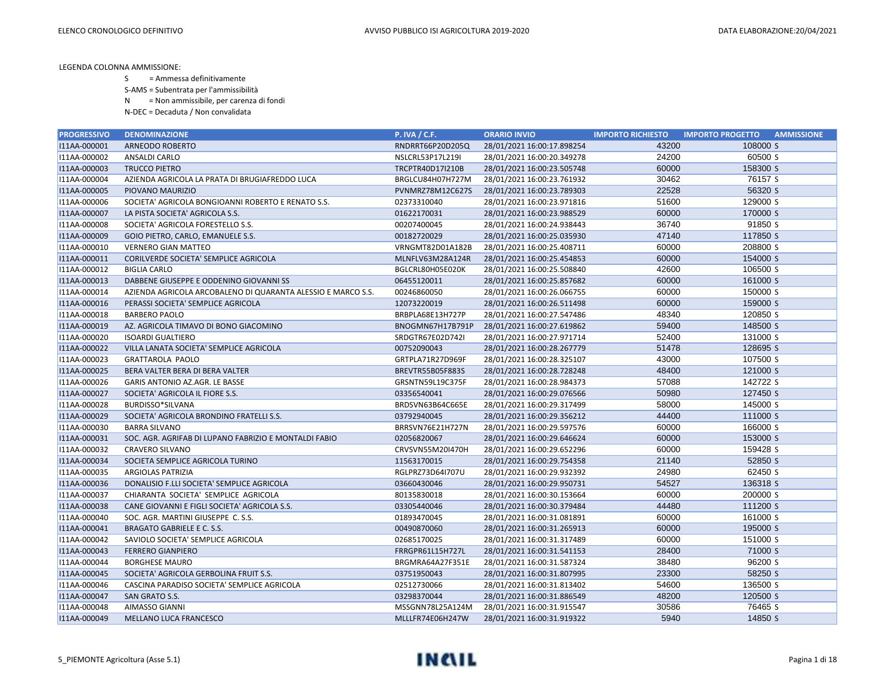- S = Ammessa definitivamente
- S-AMS = Subentrata per l'ammissibilità
- N = Non ammissibile, per carenza di fondi
- N-DEC = Decaduta / Non convalidata

| <b>PROGRESSIVO</b> | <b>DENOMINAZIONE</b>                                         | <b>P. IVA / C.F.</b> | <b>ORARIO INVIO</b>        | <b>IMPORTO RICHIESTO</b> | <b>IMPORTO PROGETTO</b><br><b>AMMISSIONE</b> |
|--------------------|--------------------------------------------------------------|----------------------|----------------------------|--------------------------|----------------------------------------------|
| I11AA-000001       | ARNEODO ROBERTO                                              | RNDRRT66P20D205Q     | 28/01/2021 16:00:17.898254 | 43200                    | 108000 S                                     |
| I11AA-000002       | ANSALDI CARLO                                                | NSLCRL53P17L219I     | 28/01/2021 16:00:20.349278 | 24200                    | 60500 S                                      |
| I11AA-000003       | <b>TRUCCO PIETRO</b>                                         | TRCPTR40D17I210B     | 28/01/2021 16:00:23.505748 | 60000                    | 158300 S                                     |
| I11AA-000004       | AZIENDA AGRICOLA LA PRATA DI BRUGIAFREDDO LUCA               | BRGLCU84H07H727M     | 28/01/2021 16:00:23.761932 | 30462                    | 76157 S                                      |
| I11AA-000005       | PIOVANO MAURIZIO                                             | PVNMRZ78M12C627S     | 28/01/2021 16:00:23.789303 | 22528                    | 56320 S                                      |
| I11AA-000006       | SOCIETA' AGRICOLA BONGIOANNI ROBERTO E RENATO S.S.           | 02373310040          | 28/01/2021 16:00:23.971816 | 51600                    | 129000 S                                     |
| I11AA-000007       | LA PISTA SOCIETA' AGRICOLA S.S.                              | 01622170031          | 28/01/2021 16:00:23.988529 | 60000                    | 170000 S                                     |
| I11AA-000008       | SOCIETA' AGRICOLA FORESTELLO S.S.                            | 00207400045          | 28/01/2021 16:00:24.938443 | 36740                    | 91850 S                                      |
| I11AA-000009       | GOIO PIETRO, CARLO, EMANUELE S.S.                            | 00182720029          | 28/01/2021 16:00:25.035930 | 47140                    | 117850 S                                     |
| I11AA-000010       | <b>VERNERO GIAN MATTEO</b>                                   | VRNGMT82D01A182B     | 28/01/2021 16:00:25.408711 | 60000                    | 208800 S                                     |
| I11AA-000011       | CORILVERDE SOCIETA' SEMPLICE AGRICOLA                        | MLNFLV63M28A124R     | 28/01/2021 16:00:25.454853 | 60000                    | 154000 S                                     |
| I11AA-000012       | <b>BIGLIA CARLO</b>                                          | BGLCRL80H05E020K     | 28/01/2021 16:00:25.508840 | 42600                    | 106500 S                                     |
| I11AA-000013       | DABBENE GIUSEPPE E ODDENINO GIOVANNI SS                      | 06455120011          | 28/01/2021 16:00:25.857682 | 60000                    | 161000 S                                     |
| I11AA-000014       | AZIENDA AGRICOLA ARCOBALENO DI QUARANTA ALESSIO E MARCO S.S. | 00246860050          | 28/01/2021 16:00:26.066755 | 60000                    | 150000 S                                     |
| I11AA-000016       | PERASSI SOCIETA' SEMPLICE AGRICOLA                           | 12073220019          | 28/01/2021 16:00:26.511498 | 60000                    | 159000 S                                     |
| I11AA-000018       | <b>BARBERO PAOLO</b>                                         | BRBPLA68E13H727P     | 28/01/2021 16:00:27.547486 | 48340                    | 120850 S                                     |
| I11AA-000019       | AZ. AGRICOLA TIMAVO DI BONO GIACOMINO                        | BNOGMN67H17B791P     | 28/01/2021 16:00:27.619862 | 59400                    | 148500 S                                     |
| I11AA-000020       | <b>ISOARDI GUALTIERO</b>                                     | SRDGTR67E02D742I     | 28/01/2021 16:00:27.971714 | 52400                    | 131000 S                                     |
| I11AA-000022       | VILLA LANATA SOCIETA' SEMPLICE AGRICOLA                      | 00752090043          | 28/01/2021 16:00:28.267779 | 51478                    | 128695 S                                     |
| I11AA-000023       | <b>GRATTAROLA PAOLO</b>                                      | GRTPLA71R27D969F     | 28/01/2021 16:00:28.325107 | 43000                    | 107500 S                                     |
| I11AA-000025       | BERA VALTER BERA DI BERA VALTER                              | BREVTR55B05F883S     | 28/01/2021 16:00:28.728248 | 48400                    | 121000 S                                     |
| I11AA-000026       | <b>GARIS ANTONIO AZ.AGR. LE BASSE</b>                        | GRSNTN59L19C375F     | 28/01/2021 16:00:28.984373 | 57088                    | 142722 S                                     |
| I11AA-000027       | SOCIETA' AGRICOLA IL FIORE S.S.                              | 03356540041          | 28/01/2021 16:00:29.076566 | 50980                    | 127450 S                                     |
| I11AA-000028       | BURDISSO*SILVANA                                             | BRDSVN63B64C665E     | 28/01/2021 16:00:29.317499 | 58000                    | 145000 S                                     |
| I11AA-000029       | SOCIETA' AGRICOLA BRONDINO FRATELLI S.S.                     | 03792940045          | 28/01/2021 16:00:29.356212 | 44400                    | 111000 S                                     |
| I11AA-000030       | <b>BARRA SILVANO</b>                                         | BRRSVN76E21H727N     | 28/01/2021 16:00:29.597576 | 60000                    | 166000 S                                     |
| I11AA-000031       | SOC. AGR. AGRIFAB DI LUPANO FABRIZIO E MONTALDI FABIO        | 02056820067          | 28/01/2021 16:00:29.646624 | 60000                    | 153000 S                                     |
| I11AA-000032       | <b>CRAVERO SILVANO</b>                                       | CRVSVN55M20I470H     | 28/01/2021 16:00:29.652296 | 60000                    | 159428 S                                     |
| I11AA-000034       | SOCIETA SEMPLICE AGRICOLA TURINO                             | 11563170015          | 28/01/2021 16:00:29.754358 | 21140                    | 52850 S                                      |
| I11AA-000035       | <b>ARGIOLAS PATRIZIA</b>                                     | RGLPRZ73D64I707U     | 28/01/2021 16:00:29.932392 | 24980                    | 62450 S                                      |
| I11AA-000036       | DONALISIO F.LLI SOCIETA' SEMPLICE AGRICOLA                   | 03660430046          | 28/01/2021 16:00:29.950731 | 54527                    | 136318 S                                     |
| I11AA-000037       | CHIARANTA SOCIETA' SEMPLICE AGRICOLA                         | 80135830018          | 28/01/2021 16:00:30.153664 | 60000                    | 200000 S                                     |
| I11AA-000038       | CANE GIOVANNI E FIGLI SOCIETA' AGRICOLA S.S.                 | 03305440046          | 28/01/2021 16:00:30.379484 | 44480                    | 111200 S                                     |
| I11AA-000040       | SOC. AGR. MARTINI GIUSEPPE C. S.S.                           | 01893470045          | 28/01/2021 16:00:31.081891 | 60000                    | 161000 S                                     |
| I11AA-000041       | <b>BRAGATO GABRIELE E C. S.S.</b>                            | 00490870060          | 28/01/2021 16:00:31.265913 | 60000                    | 195000 S                                     |
| I11AA-000042       | SAVIOLO SOCIETA' SEMPLICE AGRICOLA                           | 02685170025          | 28/01/2021 16:00:31.317489 | 60000                    | 151000 S                                     |
| I11AA-000043       | <b>FERRERO GIANPIERO</b>                                     | FRRGPR61L15H727L     | 28/01/2021 16:00:31.541153 | 28400                    | 71000 S                                      |
| I11AA-000044       | <b>BORGHESE MAURO</b>                                        | BRGMRA64A27F351E     | 28/01/2021 16:00:31.587324 | 38480                    | 96200 S                                      |
| I11AA-000045       | SOCIETA' AGRICOLA GERBOLINA FRUIT S.S.                       | 03751950043          | 28/01/2021 16:00:31.807995 | 23300                    | 58250 S                                      |
| I11AA-000046       | CASCINA PARADISO SOCIETA' SEMPLICE AGRICOLA                  | 02512730066          | 28/01/2021 16:00:31.813402 | 54600                    | 136500 S                                     |
| I11AA-000047       | SAN GRATO S.S.                                               | 03298370044          | 28/01/2021 16:00:31.886549 | 48200                    | 120500 S                                     |
| I11AA-000048       | AIMASSO GIANNI                                               | MSSGNN78L25A124M     | 28/01/2021 16:00:31.915547 | 30586                    | 76465 S                                      |
| I11AA-000049       | <b>MELLANO LUCA FRANCESCO</b>                                | MLLLFR74E06H247W     | 28/01/2021 16:00:31.919322 | 5940                     | 14850 S                                      |

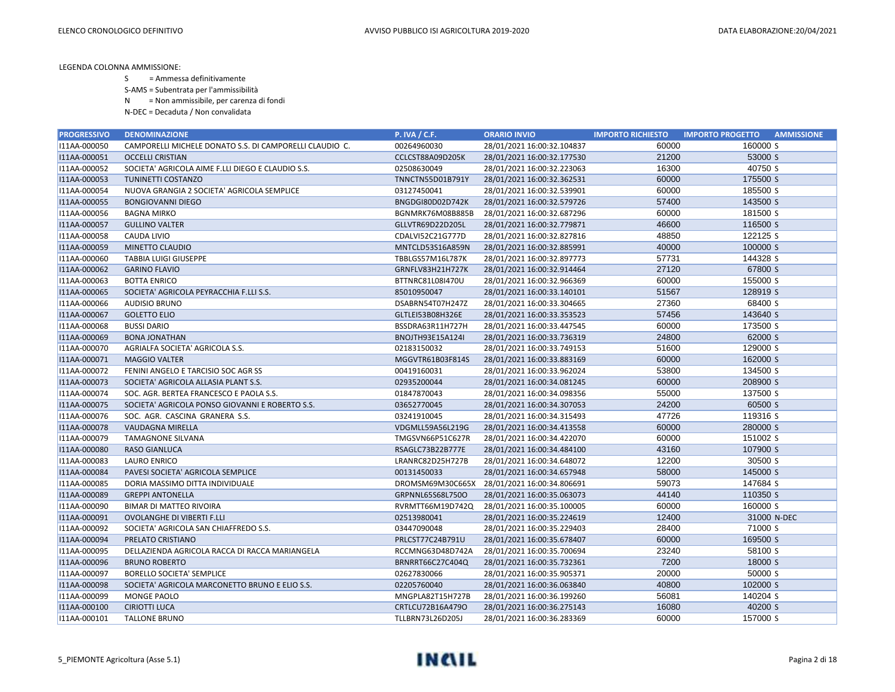- S = Ammessa definitivamente
- S-AMS = Subentrata per l'ammissibilità
- N = Non ammissibile, per carenza di fondi
- N-DEC = Decaduta / Non convalidata

| <b>PROGRESSIVO</b> | <b>DENOMINAZIONE</b>                                    | <b>P. IVA / C.F.</b>    | <b>ORARIO INVIO</b>        | <b>IMPORTO RICHIESTO</b> | <b>AMMISSIONE</b><br><b>IMPORTO PROGETTO</b> |
|--------------------|---------------------------------------------------------|-------------------------|----------------------------|--------------------------|----------------------------------------------|
| I11AA-000050       | CAMPORELLI MICHELE DONATO S.S. DI CAMPORELLI CLAUDIO C. | 00264960030             | 28/01/2021 16:00:32.104837 | 60000                    | 160000 S                                     |
| I11AA-000051       | <b>OCCELLI CRISTIAN</b>                                 | CCLCST88A09D205K        | 28/01/2021 16:00:32.177530 | 21200                    | 53000 S                                      |
| I11AA-000052       | SOCIETA' AGRICOLA AIME F.LLI DIEGO E CLAUDIO S.S.       | 02508630049             | 28/01/2021 16:00:32.223063 | 16300                    | 40750 S                                      |
| I11AA-000053       | TUNINETTI COSTANZO                                      | TNNCTN55D01B791Y        | 28/01/2021 16:00:32.362531 | 60000                    | 175500 S                                     |
| I11AA-000054       | NUOVA GRANGIA 2 SOCIETA' AGRICOLA SEMPLICE              | 03127450041             | 28/01/2021 16:00:32.539901 | 60000                    | 185500 S                                     |
| I11AA-000055       | <b>BONGIOVANNI DIEGO</b>                                | BNGDGI80D02D742K        | 28/01/2021 16:00:32.579726 | 57400                    | 143500 S                                     |
| I11AA-000056       | <b>BAGNA MIRKO</b>                                      | BGNMRK76M08B885B        | 28/01/2021 16:00:32.687296 | 60000                    | 181500 S                                     |
| I11AA-000057       | <b>GULLINO VALTER</b>                                   | GLLVTR69D22D205L        | 28/01/2021 16:00:32.779871 | 46600                    | 116500 S                                     |
| I11AA-000058       | CAUDA LIVIO                                             | CDALVI52C21G777D        | 28/01/2021 16:00:32.827816 | 48850                    | 122125 S                                     |
| I11AA-000059       | MINETTO CLAUDIO                                         | MNTCLD53S16A859N        | 28/01/2021 16:00:32.885991 | 40000                    | 100000 S                                     |
| I11AA-000060       | <b>TABBIA LUIGI GIUSEPPE</b>                            | TBBLGS57M16L787K        | 28/01/2021 16:00:32.897773 | 57731                    | 144328 S                                     |
| I11AA-000062       | <b>GARINO FLAVIO</b>                                    | GRNFLV83H21H727K        | 28/01/2021 16:00:32.914464 | 27120                    | 67800 S                                      |
| I11AA-000063       | <b>BOTTA ENRICO</b>                                     | BTTNRC81L08I470U        | 28/01/2021 16:00:32.966369 | 60000                    | 155000 S                                     |
| I11AA-000065       | SOCIETA' AGRICOLA PEYRACCHIA F.LLI S.S.                 | 85010950047             | 28/01/2021 16:00:33.140101 | 51567                    | 128919 S                                     |
| I11AA-000066       | <b>AUDISIO BRUNO</b>                                    | DSABRN54T07H247Z        | 28/01/2021 16:00:33.304665 | 27360                    | 68400 S                                      |
| I11AA-000067       | <b>GOLETTO ELIO</b>                                     | GLTLEI53B08H326E        | 28/01/2021 16:00:33.353523 | 57456                    | 143640 S                                     |
| I11AA-000068       | <b>BUSSI DARIO</b>                                      | BSSDRA63R11H727H        | 28/01/2021 16:00:33.447545 | 60000                    | 173500 S                                     |
| I11AA-000069       | <b>BONA JONATHAN</b>                                    | BNOJTH93E15A124I        | 28/01/2021 16:00:33.736319 | 24800                    | 62000 S                                      |
| I11AA-000070       | AGRIALFA SOCIETA' AGRICOLA S.S.                         | 02183150032             | 28/01/2021 16:00:33.749153 | 51600                    | 129000 S                                     |
| I11AA-000071       | <b>MAGGIO VALTER</b>                                    | MGGVTR61B03F814S        | 28/01/2021 16:00:33.883169 | 60000                    | 162000 S                                     |
| I11AA-000072       | FENINI ANGELO E TARCISIO SOC AGR SS                     | 00419160031             | 28/01/2021 16:00:33.962024 | 53800                    | 134500 S                                     |
| I11AA-000073       | SOCIETA' AGRICOLA ALLASIA PLANT S.S.                    | 02935200044             | 28/01/2021 16:00:34.081245 | 60000                    | 208900 S                                     |
| I11AA-000074       | SOC. AGR. BERTEA FRANCESCO E PAOLA S.S.                 | 01847870043             | 28/01/2021 16:00:34.098356 | 55000                    | 137500 S                                     |
| I11AA-000075       | SOCIETA' AGRICOLA PONSO GIOVANNI E ROBERTO S.S.         | 03652770045             | 28/01/2021 16:00:34.307053 | 24200                    | 60500 S                                      |
| I11AA-000076       | SOC. AGR. CASCINA GRANERA S.S.                          | 03241910045             | 28/01/2021 16:00:34.315493 | 47726                    | 119316 S                                     |
| I11AA-000078       | VAUDAGNA MIRELLA                                        | VDGMLL59A56L219G        | 28/01/2021 16:00:34.413558 | 60000                    | 280000 S                                     |
| I11AA-000079       | <b>TAMAGNONE SILVANA</b>                                | TMGSVN66P51C627R        | 28/01/2021 16:00:34.422070 | 60000                    | 151002 S                                     |
| I11AA-000080       | <b>RASO GIANLUCA</b>                                    | RSAGLC73B22B777E        | 28/01/2021 16:00:34.484100 | 43160                    | 107900 S                                     |
| I11AA-000083       | <b>LAURO ENRICO</b>                                     | LRANRC82D25H727B        | 28/01/2021 16:00:34.648072 | 12200                    | 30500 S                                      |
| I11AA-000084       | PAVESI SOCIETA' AGRICOLA SEMPLICE                       | 00131450033             | 28/01/2021 16:00:34.657948 | 58000                    | 145000 S                                     |
| I11AA-000085       | DORIA MASSIMO DITTA INDIVIDUALE                         | DROMSM69M30C665X        | 28/01/2021 16:00:34.806691 | 59073                    | 147684 S                                     |
| I11AA-000089       | <b>GREPPI ANTONELLA</b>                                 | GRPNNL65S68L750O        | 28/01/2021 16:00:35.063073 | 44140                    | 110350 S                                     |
| I11AA-000090       | BIMAR DI MATTEO RIVOIRA                                 | RVRMTT66M19D742Q        | 28/01/2021 16:00:35.100005 | 60000                    | 160000 S                                     |
| I11AA-000091       | OVOLANGHE DI VIBERTI F.LLI                              | 02513980041             | 28/01/2021 16:00:35.224619 | 12400                    | 31000 N-DEC                                  |
| I11AA-000092       | SOCIETA' AGRICOLA SAN CHIAFFREDO S.S.                   | 03447090048             | 28/01/2021 16:00:35.229403 | 28400                    | 71000 S                                      |
| I11AA-000094       | PRELATO CRISTIANO                                       | PRLCST77C24B791U        | 28/01/2021 16:00:35.678407 | 60000                    | 169500 S                                     |
| I11AA-000095       | DELLAZIENDA AGRICOLA RACCA DI RACCA MARIANGELA          | RCCMNG63D48D742A        | 28/01/2021 16:00:35.700694 | 23240                    | 58100 S                                      |
| I11AA-000096       | <b>BRUNO ROBERTO</b>                                    | BRNRRT66C27C404Q        | 28/01/2021 16:00:35.732361 | 7200                     | 18000 S                                      |
| I11AA-000097       | <b>BORELLO SOCIETA' SEMPLICE</b>                        | 02627830066             | 28/01/2021 16:00:35.905371 | 20000                    | 50000 S                                      |
| I11AA-000098       | SOCIETA' AGRICOLA MARCONETTO BRUNO E ELIO S.S.          | 02205760040             | 28/01/2021 16:00:36.063840 | 40800                    | 102000 S                                     |
| I11AA-000099       | MONGE PAOLO                                             | MNGPLA82T15H727B        | 28/01/2021 16:00:36.199260 | 56081                    | 140204 S                                     |
| I11AA-000100       | <b>CIRIOTTI LUCA</b>                                    | CRTLCU72B16A479O        | 28/01/2021 16:00:36.275143 | 16080                    | 40200 S                                      |
| I11AA-000101       | <b>TALLONE BRUNO</b>                                    | <b>TLLBRN73L26D205J</b> | 28/01/2021 16:00:36.283369 | 60000                    | 157000 S                                     |

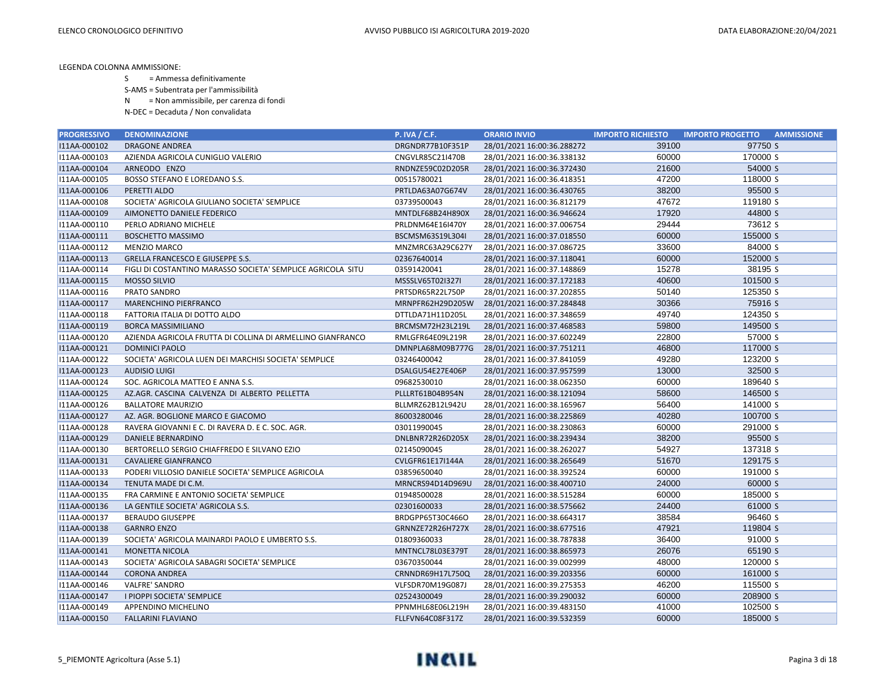- S = Ammessa definitivamente
- S-AMS = Subentrata per l'ammissibilità
- N = Non ammissibile, per carenza di fondi
- N-DEC = Decaduta / Non convalidata

| <b>PROGRESSIVO</b> | <b>DENOMINAZIONE</b>                                        | <b>P. IVA / C.F.</b> | <b>ORARIO INVIO</b>        | <b>IMPORTO RICHIESTO</b> | <b>AMMISSIONE</b><br><b>IMPORTO PROGETTO</b> |
|--------------------|-------------------------------------------------------------|----------------------|----------------------------|--------------------------|----------------------------------------------|
| I11AA-000102       | <b>DRAGONE ANDREA</b>                                       | DRGNDR77B10F351P     | 28/01/2021 16:00:36.288272 | 39100                    | 97750 S                                      |
| I11AA-000103       | AZIENDA AGRICOLA CUNIGLIO VALERIO                           | CNGVLR85C21I470B     | 28/01/2021 16:00:36.338132 | 60000                    | 170000 S                                     |
| I11AA-000104       | ARNEODO ENZO                                                | RNDNZE59C02D205R     | 28/01/2021 16:00:36.372430 | 21600                    | 54000 S                                      |
| I11AA-000105       | BOSSO STEFANO E LOREDANO S.S.                               | 00515780021          | 28/01/2021 16:00:36.418351 | 47200                    | 118000 S                                     |
| I11AA-000106       | PERETTI ALDO                                                | PRTLDA63A07G674V     | 28/01/2021 16:00:36.430765 | 38200                    | 95500 S                                      |
| I11AA-000108       | SOCIETA' AGRICOLA GIULIANO SOCIETA' SEMPLICE                | 03739500043          | 28/01/2021 16:00:36.812179 | 47672                    | 119180 S                                     |
| I11AA-000109       | AIMONETTO DANIELE FEDERICO                                  | MNTDLF68B24H890X     | 28/01/2021 16:00:36.946624 | 17920                    | 44800 S                                      |
| I11AA-000110       | PERLO ADRIANO MICHELE                                       | PRLDNM64E16I470Y     | 28/01/2021 16:00:37.006754 | 29444                    | 73612 S                                      |
| I11AA-000111       | <b>BOSCHETTO MASSIMO</b>                                    | BSCMSM63S19L304I     | 28/01/2021 16:00:37.018550 | 60000                    | 155000 S                                     |
| I11AA-000112       | <b>MENZIO MARCO</b>                                         | MNZMRC63A29C627Y     | 28/01/2021 16:00:37.086725 | 33600                    | 84000 S                                      |
| I11AA-000113       | <b>GRELLA FRANCESCO E GIUSEPPE S.S.</b>                     | 02367640014          | 28/01/2021 16:00:37.118041 | 60000                    | 152000 S                                     |
| I11AA-000114       | FIGLI DI COSTANTINO MARASSO SOCIETA' SEMPLICE AGRICOLA SITU | 03591420041          | 28/01/2021 16:00:37.148869 | 15278                    | 38195 S                                      |
| I11AA-000115       | MOSSO SILVIO                                                | MSSSLV65T02I327I     | 28/01/2021 16:00:37.172183 | 40600                    | 101500 S                                     |
| I11AA-000116       | PRATO SANDRO                                                | PRTSDR65R22L750P     | 28/01/2021 16:00:37.202855 | 50140                    | 125350 S                                     |
| I11AA-000117       | <b>MARENCHINO PIERFRANCO</b>                                | MRNPFR62H29D205W     | 28/01/2021 16:00:37.284848 | 30366                    | 75916 S                                      |
| I11AA-000118       | FATTORIA ITALIA DI DOTTO ALDO                               | DTTLDA71H11D205L     | 28/01/2021 16:00:37.348659 | 49740                    | 124350 S                                     |
| I11AA-000119       | <b>BORCA MASSIMILIANO</b>                                   | BRCMSM72H23L219L     | 28/01/2021 16:00:37.468583 | 59800                    | 149500 S                                     |
| I11AA-000120       | AZIENDA AGRICOLA FRUTTA DI COLLINA DI ARMELLINO GIANFRANCO  | RMLGFR64E09L219R     | 28/01/2021 16:00:37.602249 | 22800                    | 57000 S                                      |
| I11AA-000121       | <b>DOMINICI PAOLO</b>                                       | DMNPLA68M09B777G     | 28/01/2021 16:00:37.751211 | 46800                    | 117000 S                                     |
| I11AA-000122       | SOCIETA' AGRICOLA LUEN DEI MARCHISI SOCIETA' SEMPLICE       | 03246400042          | 28/01/2021 16:00:37.841059 | 49280                    | 123200 S                                     |
| I11AA-000123       | <b>AUDISIO LUIGI</b>                                        | DSALGU54E27E406P     | 28/01/2021 16:00:37.957599 | 13000                    | 32500 S                                      |
| I11AA-000124       | SOC. AGRICOLA MATTEO E ANNA S.S.                            | 09682530010          | 28/01/2021 16:00:38.062350 | 60000                    | 189640 S                                     |
| I11AA-000125       | AZ.AGR. CASCINA CALVENZA DI ALBERTO PELLETTA                | PLLLRT61B04B954N     | 28/01/2021 16:00:38.121094 | 58600                    | 146500 S                                     |
| I11AA-000126       | <b>BALLATORE MAURIZIO</b>                                   | BLLMRZ62B12L942U     | 28/01/2021 16:00:38.165967 | 56400                    | 141000 S                                     |
| I11AA-000127       | AZ. AGR. BOGLIONE MARCO E GIACOMO                           | 86003280046          | 28/01/2021 16:00:38.225869 | 40280                    | 100700 S                                     |
| I11AA-000128       | RAVERA GIOVANNI E C. DI RAVERA D. E C. SOC. AGR.            | 03011990045          | 28/01/2021 16:00:38.230863 | 60000                    | 291000 S                                     |
| I11AA-000129       | <b>DANIELE BERNARDINO</b>                                   | DNLBNR72R26D205X     | 28/01/2021 16:00:38.239434 | 38200                    | 95500 S                                      |
| I11AA-000130       | BERTORELLO SERGIO CHIAFFREDO E SILVANO EZIO                 | 02145090045          | 28/01/2021 16:00:38.262027 | 54927                    | 137318 S                                     |
| I11AA-000131       | <b>CAVALIERE GIANFRANCO</b>                                 | CVLGFR61E17I144A     | 28/01/2021 16:00:38.265649 | 51670                    | 129175 S                                     |
| I11AA-000133       | PODERI VILLOSIO DANIELE SOCIETA' SEMPLICE AGRICOLA          | 03859650040          | 28/01/2021 16:00:38.392524 | 60000                    | 191000 S                                     |
| I11AA-000134       | TENUTA MADE DI C.M.                                         | MRNCRS94D14D969U     | 28/01/2021 16:00:38.400710 | 24000                    | 60000 S                                      |
| I11AA-000135       | FRA CARMINE E ANTONIO SOCIETA' SEMPLICE                     | 01948500028          | 28/01/2021 16:00:38.515284 | 60000                    | 185000 S                                     |
| I11AA-000136       | LA GENTILE SOCIETA' AGRICOLA S.S.                           | 02301600033          | 28/01/2021 16:00:38.575662 | 24400                    | 61000 S                                      |
| I11AA-000137       | <b>BERAUDO GIUSEPPE</b>                                     | BRDGPP65T30C466O     | 28/01/2021 16:00:38.664317 | 38584                    | 96460 S                                      |
| I11AA-000138       | <b>GARNRO ENZO</b>                                          | GRNNZE72R26H727X     | 28/01/2021 16:00:38.677516 | 47921                    | 119804 S                                     |
| I11AA-000139       | SOCIETA' AGRICOLA MAINARDI PAOLO E UMBERTO S.S.             | 01809360033          | 28/01/2021 16:00:38.787838 | 36400                    | 91000 S                                      |
| I11AA-000141       | <b>MONETTA NICOLA</b>                                       | MNTNCL78L03E379T     | 28/01/2021 16:00:38.865973 | 26076                    | 65190 S                                      |
| I11AA-000143       | SOCIETA' AGRICOLA SABAGRI SOCIETA' SEMPLICE                 | 03670350044          | 28/01/2021 16:00:39.002999 | 48000                    | 120000 S                                     |
| I11AA-000144       | <b>CORONA ANDREA</b>                                        | CRNNDR69H17L750Q     | 28/01/2021 16:00:39.203356 | 60000                    | 161000 S                                     |
| I11AA-000146       | VALFRE' SANDRO                                              | VLFSDR70M19G087J     | 28/01/2021 16:00:39.275353 | 46200                    | 115500 S                                     |
| I11AA-000147       | I PIOPPI SOCIETA' SEMPLICE                                  | 02524300049          | 28/01/2021 16:00:39.290032 | 60000                    | 208900 S                                     |
| I11AA-000149       | APPENDINO MICHELINO                                         | PPNMHL68E06L219H     | 28/01/2021 16:00:39.483150 | 41000                    | 102500 S                                     |
| I11AA-000150       | <b>FALLARINI FLAVIANO</b>                                   | FLLFVN64C08F317Z     | 28/01/2021 16:00:39.532359 | 60000                    | 185000 S                                     |

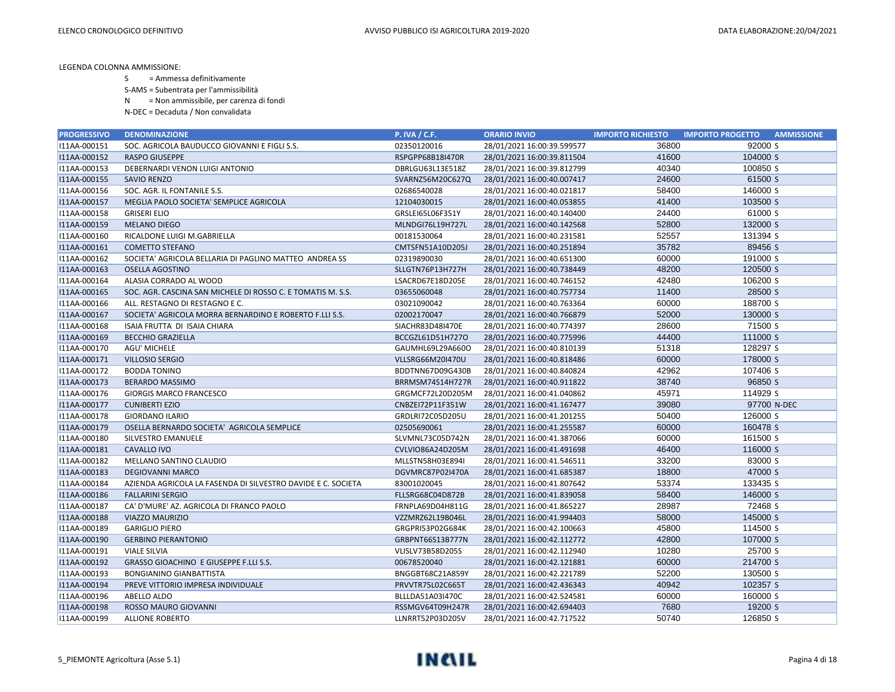S = Ammessa definitivamente

S-AMS = Subentrata per l'ammissibilità

N = Non ammissibile, per carenza di fondi

| <b>PROGRESSIVO</b> | <b>DENOMINAZIONE</b>                                         | <b>P. IVA / C.F.</b> | <b>ORARIO INVIO</b>        | <b>IMPORTO RICHIESTO</b> | <b>IMPORTO PROGETTO</b><br><b>AMMISSIONE</b> |
|--------------------|--------------------------------------------------------------|----------------------|----------------------------|--------------------------|----------------------------------------------|
| I11AA-000151       | SOC. AGRICOLA BAUDUCCO GIOVANNI E FIGLI S.S.                 | 02350120016          | 28/01/2021 16:00:39.599577 | 36800                    | 92000 S                                      |
| I11AA-000152       | <b>RASPO GIUSEPPE</b>                                        | RSPGPP68B18I470R     | 28/01/2021 16:00:39.811504 | 41600                    | 104000 S                                     |
| I11AA-000153       | DEBERNARDI VENON LUIGI ANTONIO                               | DBRLGU63L13E518Z     | 28/01/2021 16:00:39.812799 | 40340                    | 100850 S                                     |
| I11AA-000155       | SAVIO RENZO                                                  | SVARNZ56M20C627Q     | 28/01/2021 16:00:40.007417 | 24600                    | 61500 S                                      |
| I11AA-000156       | SOC. AGR. IL FONTANILE S.S.                                  | 02686540028          | 28/01/2021 16:00:40.021817 | 58400                    | 146000 S                                     |
| I11AA-000157       | MEGLIA PAOLO SOCIETA' SEMPLICE AGRICOLA                      | 12104030015          | 28/01/2021 16:00:40.053855 | 41400                    | 103500 S                                     |
| I11AA-000158       | <b>GRISERI ELIO</b>                                          | GRSLEI65L06F351Y     | 28/01/2021 16:00:40.140400 | 24400                    | 61000 S                                      |
| I11AA-000159       | <b>MELANO DIEGO</b>                                          | MLNDGI76L19H727L     | 28/01/2021 16:00:40.142568 | 52800                    | 132000 S                                     |
| I11AA-000160       | RICALDONE LUIGI M.GABRIELLA                                  | 00181530064          | 28/01/2021 16:00:40.231581 | 52557                    | 131394 S                                     |
| I11AA-000161       | <b>COMETTO STEFANO</b>                                       | CMTSFN51A10D205J     | 28/01/2021 16:00:40.251894 | 35782                    | 89456 S                                      |
| I11AA-000162       | SOCIETA' AGRICOLA BELLARIA DI PAGLINO MATTEO ANDREA SS       | 02319890030          | 28/01/2021 16:00:40.651300 | 60000                    | 191000 S                                     |
| I11AA-000163       | <b>OSELLA AGOSTINO</b>                                       | SLLGTN76P13H727H     | 28/01/2021 16:00:40.738449 | 48200                    | 120500 S                                     |
| I11AA-000164       | ALASIA CORRADO AL WOOD                                       | LSACRD67E18D205E     | 28/01/2021 16:00:40.746152 | 42480                    | 106200 S                                     |
| I11AA-000165       | SOC. AGR. CASCINA SAN MICHELE DI ROSSO C. E TOMATIS M. S.S.  | 03655060048          | 28/01/2021 16:00:40.757734 | 11400                    | 28500 S                                      |
| I11AA-000166       | ALL. RESTAGNO DI RESTAGNO E C.                               | 03021090042          | 28/01/2021 16:00:40.763364 | 60000                    | 188700 S                                     |
| I11AA-000167       | SOCIETA' AGRICOLA MORRA BERNARDINO E ROBERTO F.LLI S.S.      | 02002170047          | 28/01/2021 16:00:40.766879 | 52000                    | 130000 S                                     |
| I11AA-000168       | ISAIA FRUTTA DI ISAIA CHIARA                                 | SIACHR83D48I470E     | 28/01/2021 16:00:40.774397 | 28600                    | 71500 S                                      |
| I11AA-000169       | <b>BECCHIO GRAZIELLA</b>                                     | BCCGZL61D51H727O     | 28/01/2021 16:00:40.775996 | 44400                    | 111000 S                                     |
| I11AA-000170       | AGU' MICHELE                                                 | GAUMHL69L29A660O     | 28/01/2021 16:00:40.810139 | 51318                    | 128297 S                                     |
| I11AA-000171       | <b>VILLOSIO SERGIO</b>                                       | VLLSRG66M20I470U     | 28/01/2021 16:00:40.818486 | 60000                    | 178000 S                                     |
| I11AA-000172       | <b>BODDA TONINO</b>                                          | BDDTNN67D09G430B     | 28/01/2021 16:00:40.840824 | 42962                    | 107406 S                                     |
| I11AA-000173       | <b>BERARDO MASSIMO</b>                                       | BRRMSM74S14H727R     | 28/01/2021 16:00:40.911822 | 38740                    | 96850 S                                      |
| I11AA-000176       | <b>GIORGIS MARCO FRANCESCO</b>                               | GRGMCF72L20D205M     | 28/01/2021 16:00:41.040862 | 45971                    | 114929 S                                     |
| I11AA-000177       | <b>CUNIBERTI EZIO</b>                                        | CNBZEI72P11F351W     | 28/01/2021 16:00:41.167477 | 39080                    | 97700 N-DEC                                  |
| I11AA-000178       | <b>GIORDANO ILARIO</b>                                       | GRDLRI72C05D205U     | 28/01/2021 16:00:41.201255 | 50400                    | 126000 S                                     |
| I11AA-000179       | OSELLA BERNARDO SOCIETA' AGRICOLA SEMPLICE                   | 02505690061          | 28/01/2021 16:00:41.255587 | 60000                    | 160478 S                                     |
| I11AA-000180       | <b>SILVESTRO EMANUELE</b>                                    | SLVMNL73C05D742N     | 28/01/2021 16:00:41.387066 | 60000                    | 161500 S                                     |
| I11AA-000181       | <b>CAVALLO IVO</b>                                           | CVLVIO86A24D205M     | 28/01/2021 16:00:41.491698 | 46400                    | 116000 S                                     |
| I11AA-000182       | MELLANO SANTINO CLAUDIO                                      | MLLSTN58H03E894I     | 28/01/2021 16:00:41.546511 | 33200                    | 83000 S                                      |
| I11AA-000183       | <b>DEGIOVANNI MARCO</b>                                      | DGVMRC87P02I470A     | 28/01/2021 16:00:41.685387 | 18800                    | 47000 S                                      |
| I11AA-000184       | AZIENDA AGRICOLA LA FASENDA DI SILVESTRO DAVIDE E C. SOCIETA | 83001020045          | 28/01/2021 16:00:41.807642 | 53374                    | 133435 S                                     |
| I11AA-000186       | <b>FALLARINI SERGIO</b>                                      | FLLSRG68C04D872B     | 28/01/2021 16:00:41.839058 | 58400                    | 146000 S                                     |
| I11AA-000187       | CA' D'MURE' AZ. AGRICOLA DI FRANCO PAOLO                     | FRNPLA69D04H811G     | 28/01/2021 16:00:41.865227 | 28987                    | 72468 S                                      |
| I11AA-000188       | VIAZZO MAURIZIO                                              | VZZMRZ62L19B046L     | 28/01/2021 16:00:41.994403 | 58000                    | 145000 S                                     |
| I11AA-000189       | <b>GARIGLIO PIERO</b>                                        | GRGPRI53P02G684K     | 28/01/2021 16:00:42.100663 | 45800                    | 114500 S                                     |
| I11AA-000190       | <b>GERBINO PIERANTONIO</b>                                   | GRBPNT66S13B777N     | 28/01/2021 16:00:42.112772 | 42800                    | 107000 S                                     |
| I11AA-000191       | <b>VIALE SILVIA</b>                                          | VLISLV73B58D205S     | 28/01/2021 16:00:42.112940 | 10280                    | 25700 S                                      |
| I11AA-000192       | GRASSO GIOACHINO E GIUSEPPE F.LLI S.S.                       | 00678520040          | 28/01/2021 16:00:42.121881 | 60000                    | 214700 S                                     |
| I11AA-000193       | <b>BONGIANINO GIANBATTISTA</b>                               | BNGGBT68C21A859Y     | 28/01/2021 16:00:42.221789 | 52200                    | 130500 S                                     |
| I11AA-000194       | PREVE VITTORIO IMPRESA INDIVIDUALE                           | PRVVTR75L02C665T     | 28/01/2021 16:00:42.436343 | 40942                    | 102357 S                                     |
| I11AA-000196       | ABELLO ALDO                                                  | BLLLDA51A03I470C     | 28/01/2021 16:00:42.524581 | 60000                    | 160000 S                                     |
| I11AA-000198       | ROSSO MAURO GIOVANNI                                         | RSSMGV64T09H247R     | 28/01/2021 16:00:42.694403 | 7680                     | 19200 S                                      |
| I11AA-000199       | <b>ALLIONE ROBERTO</b>                                       | LLNRRT52P03D205V     | 28/01/2021 16:00:42.717522 | 50740                    | 126850 S                                     |

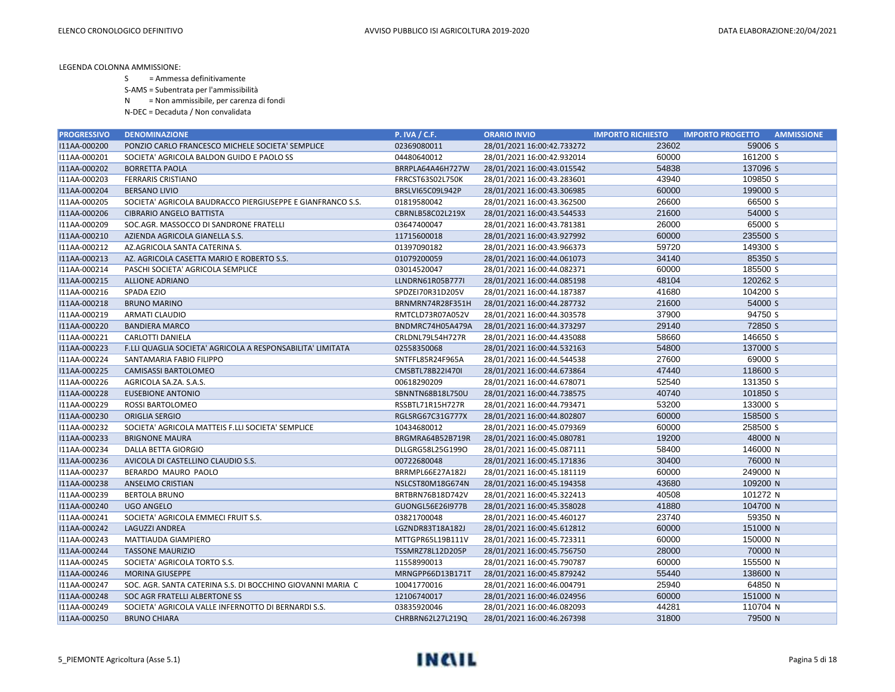S = Ammessa definitivamente

S-AMS = Subentrata per l'ammissibilità

N = Non ammissibile, per carenza di fondi

| <b>PROGRESSIVO</b> | <b>DENOMINAZIONE</b>                                       | <b>P. IVA / C.F.</b> | <b>ORARIO INVIO</b>        | <b>IMPORTO RICHIESTO</b> | <b>AMMISSIONE</b><br><b>IMPORTO PROGETTO</b> |
|--------------------|------------------------------------------------------------|----------------------|----------------------------|--------------------------|----------------------------------------------|
| I11AA-000200       | PONZIO CARLO FRANCESCO MICHELE SOCIETA' SEMPLICE           | 02369080011          | 28/01/2021 16:00:42.733272 | 23602                    | 59006 S                                      |
| I11AA-000201       | SOCIETA' AGRICOLA BALDON GUIDO E PAOLO SS                  | 04480640012          | 28/01/2021 16:00:42.932014 | 60000                    | 161200 S                                     |
| I11AA-000202       | <b>BORRETTA PAOLA</b>                                      | BRRPLA64A46H727W     | 28/01/2021 16:00:43.015542 | 54838                    | 137096 S                                     |
| I11AA-000203       | <b>FERRARIS CRISTIANO</b>                                  | FRRCST63S02L750K     | 28/01/2021 16:00:43.283601 | 43940                    | 109850 S                                     |
| I11AA-000204       | <b>BERSANO LIVIO</b>                                       | BRSLVI65C09L942P     | 28/01/2021 16:00:43.306985 | 60000                    | 199000 S                                     |
| I11AA-000205       | SOCIETA' AGRICOLA BAUDRACCO PIERGIUSEPPE E GIANFRANCO S.S. | 01819580042          | 28/01/2021 16:00:43.362500 | 26600                    | 66500 S                                      |
| I11AA-000206       | <b>CIBRARIO ANGELO BATTISTA</b>                            | CBRNLB58C02L219X     | 28/01/2021 16:00:43.544533 | 21600                    | 54000 S                                      |
| I11AA-000209       | SOC.AGR. MASSOCCO DI SANDRONE FRATELLI                     | 03647400047          | 28/01/2021 16:00:43.781381 | 26000                    | 65000 S                                      |
| I11AA-000210       | AZIENDA AGRICOLA GIANELLA S.S.                             | 11715600018          | 28/01/2021 16:00:43.927992 | 60000                    | 235500 S                                     |
| I11AA-000212       | AZ.AGRICOLA SANTA CATERINA S.                              | 01397090182          | 28/01/2021 16:00:43.966373 | 59720                    | 149300 S                                     |
| I11AA-000213       | AZ. AGRICOLA CASETTA MARIO E ROBERTO S.S.                  | 01079200059          | 28/01/2021 16:00:44.061073 | 34140                    | 85350 S                                      |
| I11AA-000214       | PASCHI SOCIETA' AGRICOLA SEMPLICE                          | 03014520047          | 28/01/2021 16:00:44.082371 | 60000                    | 185500 S                                     |
| I11AA-000215       | <b>ALLIONE ADRIANO</b>                                     | LLNDRN61R05B777I     | 28/01/2021 16:00:44.085198 | 48104                    | 120262 S                                     |
| I11AA-000216       | SPADA EZIO                                                 | SPDZEI70R31D205V     | 28/01/2021 16:00:44.187387 | 41680                    | 104200 S                                     |
| I11AA-000218       | <b>BRUNO MARINO</b>                                        | BRNMRN74R28F351H     | 28/01/2021 16:00:44.287732 | 21600                    | 54000 S                                      |
| I11AA-000219       | <b>ARMATI CLAUDIO</b>                                      | RMTCLD73R07A052V     | 28/01/2021 16:00:44.303578 | 37900                    | 94750 S                                      |
| I11AA-000220       | <b>BANDIERA MARCO</b>                                      | BNDMRC74H05A479A     | 28/01/2021 16:00:44.373297 | 29140                    | 72850 S                                      |
| I11AA-000221       | CARLOTTI DANIELA                                           | CRLDNL79L54H727R     | 28/01/2021 16:00:44.435088 | 58660                    | 146650 S                                     |
| I11AA-000223       | F.LLI QUAGLIA SOCIETA' AGRICOLA A RESPONSABILITA' LIMITATA | 02558350068          | 28/01/2021 16:00:44.532163 | 54800                    | 137000 S                                     |
| I11AA-000224       | SANTAMARIA FABIO FILIPPO                                   | SNTFFL85R24F965A     | 28/01/2021 16:00:44.544538 | 27600                    | 69000 S                                      |
| I11AA-000225       | CAMISASSI BARTOLOMEO                                       | CMSBTL78B22I470I     | 28/01/2021 16:00:44.673864 | 47440                    | 118600 S                                     |
| I11AA-000226       | AGRICOLA SA.ZA. S.A.S.                                     | 00618290209          | 28/01/2021 16:00:44.678071 | 52540                    | 131350 S                                     |
| I11AA-000228       | <b>EUSEBIONE ANTONIO</b>                                   | SBNNTN68B18L750U     | 28/01/2021 16:00:44.738575 | 40740                    | 101850 S                                     |
| I11AA-000229       | ROSSI BARTOLOMEO                                           | RSSBTL71R15H727R     | 28/01/2021 16:00:44.793471 | 53200                    | 133000 S                                     |
| I11AA-000230       | ORIGLIA SERGIO                                             | RGLSRG67C31G777X     | 28/01/2021 16:00:44.802807 | 60000                    | 158500 S                                     |
| I11AA-000232       | SOCIETA' AGRICOLA MATTEIS F.LLI SOCIETA' SEMPLICE          | 10434680012          | 28/01/2021 16:00:45.079369 | 60000                    | 258500 S                                     |
| I11AA-000233       | <b>BRIGNONE MAURA</b>                                      | BRGMRA64B52B719R     | 28/01/2021 16:00:45.080781 | 19200                    | 48000 N                                      |
| I11AA-000234       | <b>DALLA BETTA GIORGIO</b>                                 | DLLGRG58L25G1990     | 28/01/2021 16:00:45.087111 | 58400                    | 146000 N                                     |
| I11AA-000236       | AVICOLA DI CASTELLINO CLAUDIO S.S.                         | 00722680048          | 28/01/2021 16:00:45.171836 | 30400                    | 76000 N                                      |
| I11AA-000237       | BERARDO MAURO PAOLO                                        | BRRMPL66E27A182J     | 28/01/2021 16:00:45.181119 | 60000                    | 249000 N                                     |
| I11AA-000238       | ANSELMO CRISTIAN                                           | NSLCST80M18G674N     | 28/01/2021 16:00:45.194358 | 43680                    | 109200 N                                     |
| I11AA-000239       | <b>BERTOLA BRUNO</b>                                       | BRTBRN76B18D742V     | 28/01/2021 16:00:45.322413 | 40508                    | 101272 N                                     |
| I11AA-000240       | <b>UGO ANGELO</b>                                          | GUONGL56E26I977B     | 28/01/2021 16:00:45.358028 | 41880                    | 104700 N                                     |
| I11AA-000241       | SOCIETA' AGRICOLA EMMECI FRUIT S.S.                        | 03821700048          | 28/01/2021 16:00:45.460127 | 23740                    | 59350 N                                      |
| I11AA-000242       | <b>LAGUZZI ANDREA</b>                                      | LGZNDR83T18A182J     | 28/01/2021 16:00:45.612812 | 60000                    | 151000 N                                     |
| I11AA-000243       | MATTIAUDA GIAMPIERO                                        | MTTGPR65L19B111V     | 28/01/2021 16:00:45.723311 | 60000                    | 150000 N                                     |
| I11AA-000244       | <b>TASSONE MAURIZIO</b>                                    | TSSMRZ78L12D205P     | 28/01/2021 16:00:45.756750 | 28000                    | 70000 N                                      |
| I11AA-000245       | SOCIETA' AGRICOLA TORTO S.S.                               | 11558990013          | 28/01/2021 16:00:45.790787 | 60000                    | 155500 N                                     |
| I11AA-000246       | <b>MORINA GIUSEPPE</b>                                     | MRNGPP66D13B171T     | 28/01/2021 16:00:45.879242 | 55440                    | 138600 N                                     |
| I11AA-000247       | SOC. AGR. SANTA CATERINA S.S. DI BOCCHINO GIOVANNI MARIA C | 10041770016          | 28/01/2021 16:00:46.004791 | 25940                    | 64850 N                                      |
| I11AA-000248       | SOC AGR FRATELLI ALBERTONE SS                              | 12106740017          | 28/01/2021 16:00:46.024956 | 60000                    | 151000 N                                     |
| I11AA-000249       | SOCIETA' AGRICOLA VALLE INFERNOTTO DI BERNARDI S.S.        | 03835920046          | 28/01/2021 16:00:46.082093 | 44281                    | 110704 N                                     |
| I11AA-000250       | <b>BRUNO CHIARA</b>                                        | CHRBRN62L27L219Q     | 28/01/2021 16:00:46.267398 | 31800                    | 79500 N                                      |

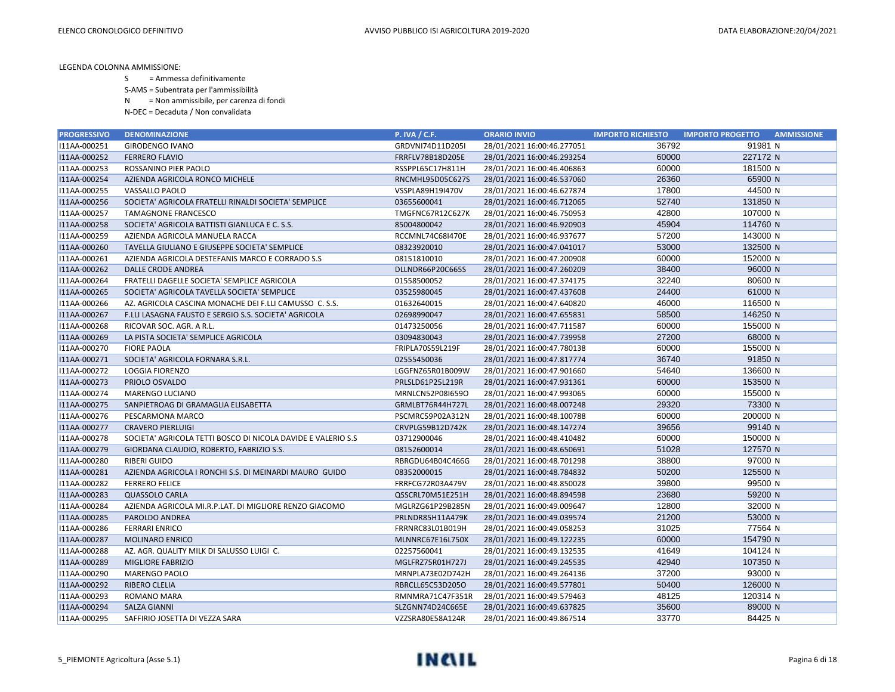- S = Ammessa definitivamente
- S-AMS = Subentrata per l'ammissibilità
- N = Non ammissibile, per carenza di fondi
- N-DEC = Decaduta / Non convalidata

| <b>PROGRESSIVO</b> | <b>DENOMINAZIONE</b>                                         | <b>P. IVA / C.F.</b> | <b>ORARIO INVIO</b>        | <b>IMPORTO RICHIESTO</b> | <b>IMPORTO PROGETTO</b><br><b>AMMISSIONE</b> |
|--------------------|--------------------------------------------------------------|----------------------|----------------------------|--------------------------|----------------------------------------------|
| I11AA-000251       | <b>GIRODENGO IVANO</b>                                       | GRDVNI74D11D205I     | 28/01/2021 16:00:46.277051 | 36792                    | 91981 N                                      |
| I11AA-000252       | <b>FERRERO FLAVIO</b>                                        | FRRFLV78B18D205E     | 28/01/2021 16:00:46.293254 | 60000                    | 227172 N                                     |
| I11AA-000253       | ROSSANINO PIER PAOLO                                         | RSSPPL65C17H811H     | 28/01/2021 16:00:46.406863 | 60000                    | 181500 N                                     |
| I11AA-000254       | AZIENDA AGRICOLA RONCO MICHELE                               | RNCMHL95D05C627S     | 28/01/2021 16:00:46.537060 | 26360                    | 65900 N                                      |
| I11AA-000255       | VASSALLO PAOLO                                               | VSSPLA89H19I470V     | 28/01/2021 16:00:46.627874 | 17800                    | 44500 N                                      |
| I11AA-000256       | SOCIETA' AGRICOLA FRATELLI RINALDI SOCIETA' SEMPLICE         | 03655600041          | 28/01/2021 16:00:46.712065 | 52740                    | 131850 N                                     |
| I11AA-000257       | <b>TAMAGNONE FRANCESCO</b>                                   | TMGFNC67R12C627K     | 28/01/2021 16:00:46.750953 | 42800                    | 107000 N                                     |
| I11AA-000258       | SOCIETA' AGRICOLA BATTISTI GIANLUCA E C. S.S.                | 85004800042          | 28/01/2021 16:00:46.920903 | 45904                    | 114760 N                                     |
| I11AA-000259       | AZIENDA AGRICOLA MANUELA RACCA                               | RCCMNL74C68I470E     | 28/01/2021 16:00:46.937677 | 57200                    | 143000 N                                     |
| I11AA-000260       | TAVELLA GIULIANO E GIUSEPPE SOCIETA' SEMPLICE                | 08323920010          | 28/01/2021 16:00:47.041017 | 53000                    | 132500 N                                     |
| I11AA-000261       | AZIENDA AGRICOLA DESTEFANIS MARCO E CORRADO S.S              | 08151810010          | 28/01/2021 16:00:47.200908 | 60000                    | 152000 N                                     |
| I11AA-000262       | DALLE CRODE ANDREA                                           | DLLNDR66P20C665S     | 28/01/2021 16:00:47.260209 | 38400                    | 96000 N                                      |
| I11AA-000264       | FRATELLI DAGELLE SOCIETA' SEMPLICE AGRICOLA                  | 01558500052          | 28/01/2021 16:00:47.374175 | 32240                    | 80600 N                                      |
| I11AA-000265       | SOCIETA' AGRICOLA TAVELLA SOCIETA' SEMPLICE                  | 03525980045          | 28/01/2021 16:00:47.437608 | 24400                    | 61000 N                                      |
| I11AA-000266       | AZ. AGRICOLA CASCINA MONACHE DEI F.LLI CAMUSSO C. S.S.       | 01632640015          | 28/01/2021 16:00:47.640820 | 46000                    | 116500 N                                     |
| I11AA-000267       | F.LLI LASAGNA FAUSTO E SERGIO S.S. SOCIETA' AGRICOLA         | 02698990047          | 28/01/2021 16:00:47.655831 | 58500                    | 146250 N                                     |
| I11AA-000268       | RICOVAR SOC. AGR. A R.L.                                     | 01473250056          | 28/01/2021 16:00:47.711587 | 60000                    | 155000 N                                     |
| I11AA-000269       | LA PISTA SOCIETA' SEMPLICE AGRICOLA                          | 03094830043          | 28/01/2021 16:00:47.739958 | 27200                    | 68000 N                                      |
| I11AA-000270       | <b>FIORE PAOLA</b>                                           | FRIPLA70S59L219F     | 28/01/2021 16:00:47.780138 | 60000                    | 155000 N                                     |
| I11AA-000271       | SOCIETA' AGRICOLA FORNARA S.R.L.                             | 02555450036          | 28/01/2021 16:00:47.817774 | 36740                    | 91850 N                                      |
| I11AA-000272       | <b>LOGGIA FIORENZO</b>                                       | LGGFNZ65R01B009W     | 28/01/2021 16:00:47.901660 | 54640                    | 136600 N                                     |
| I11AA-000273       | PRIOLO OSVALDO                                               | PRLSLD61P25L219R     | 28/01/2021 16:00:47.931361 | 60000                    | 153500 N                                     |
| I11AA-000274       | MARENGO LUCIANO                                              | MRNLCN52P08I659O     | 28/01/2021 16:00:47.993065 | 60000                    | 155000 N                                     |
| I11AA-000275       | SANPIETROAG DI GRAMAGLIA ELISABETTA                          | GRMLBT76R44H727L     | 28/01/2021 16:00:48.007248 | 29320                    | 73300 N                                      |
| I11AA-000276       | PESCARMONA MARCO                                             | PSCMRC59P02A312N     | 28/01/2021 16:00:48.100788 | 60000                    | 200000 N                                     |
| I11AA-000277       | <b>CRAVERO PIERLUIGI</b>                                     | CRVPLG59B12D742K     | 28/01/2021 16:00:48.147274 | 39656                    | 99140 N                                      |
| I11AA-000278       | SOCIETA' AGRICOLA TETTI BOSCO DI NICOLA DAVIDE E VALERIO S.S | 03712900046          | 28/01/2021 16:00:48.410482 | 60000                    | 150000 N                                     |
| I11AA-000279       | GIORDANA CLAUDIO, ROBERTO, FABRIZIO S.S.                     | 08152600014          | 28/01/2021 16:00:48.650691 | 51028                    | 127570 N                                     |
| I11AA-000280       | <b>RIBERI GUIDO</b>                                          | RBRGDU64B04C466G     | 28/01/2021 16:00:48.701298 | 38800                    | 97000 N                                      |
| I11AA-000281       | AZIENDA AGRICOLA I RONCHI S.S. DI MEINARDI MAURO GUIDO       | 08352000015          | 28/01/2021 16:00:48.784832 | 50200                    | 125500 N                                     |
| I11AA-000282       | <b>FERRERO FELICE</b>                                        | FRRFCG72R03A479V     | 28/01/2021 16:00:48.850028 | 39800                    | 99500 N                                      |
| I11AA-000283       | <b>QUASSOLO CARLA</b>                                        | QSSCRL70M51E251H     | 28/01/2021 16:00:48.894598 | 23680                    | 59200 N                                      |
| I11AA-000284       | AZIENDA AGRICOLA MI.R.P.LAT. DI MIGLIORE RENZO GIACOMO       | MGLRZG61P29B285N     | 28/01/2021 16:00:49.009647 | 12800                    | 32000 N                                      |
| I11AA-000285       | <b>PAROLDO ANDREA</b>                                        | PRLNDR85H11A479K     | 28/01/2021 16:00:49.039574 | 21200                    | 53000 N                                      |
| I11AA-000286       | <b>FERRARI ENRICO</b>                                        | FRRNRC83L01B019H     | 28/01/2021 16:00:49.058253 | 31025                    | 77564 N                                      |
| I11AA-000287       | <b>MOLINARO ENRICO</b>                                       | MLNNRC67E16L750X     | 28/01/2021 16:00:49.122235 | 60000                    | 154790 N                                     |
| I11AA-000288       | AZ. AGR. QUALITY MILK DI SALUSSO LUIGI C.                    | 02257560041          | 28/01/2021 16:00:49.132535 | 41649                    | 104124 N                                     |
| I11AA-000289       | MIGLIORE FABRIZIO                                            | MGLFRZ75R01H727J     | 28/01/2021 16:00:49.245535 | 42940                    | 107350 N                                     |
| I11AA-000290       | <b>MARENGO PAOLO</b>                                         | MRNPLA73E02D742H     | 28/01/2021 16:00:49.264136 | 37200                    | 93000 N                                      |
| I11AA-000292       | <b>RIBERO CLELIA</b>                                         | RBRCLL65C53D205O     | 28/01/2021 16:00:49.577801 | 50400                    | 126000 N                                     |
| I11AA-000293       | <b>ROMANO MARA</b>                                           | RMNMRA71C47F351R     | 28/01/2021 16:00:49.579463 | 48125                    | 120314 N                                     |
| I11AA-000294       | <b>SALZA GIANNI</b>                                          | SLZGNN74D24C665E     | 28/01/2021 16:00:49.637825 | 35600                    | 89000 N                                      |
| I11AA-000295       | SAFFIRIO JOSETTA DI VEZZA SARA                               | VZZSRA80E58A124R     | 28/01/2021 16:00:49.867514 | 33770                    | 84425 N                                      |

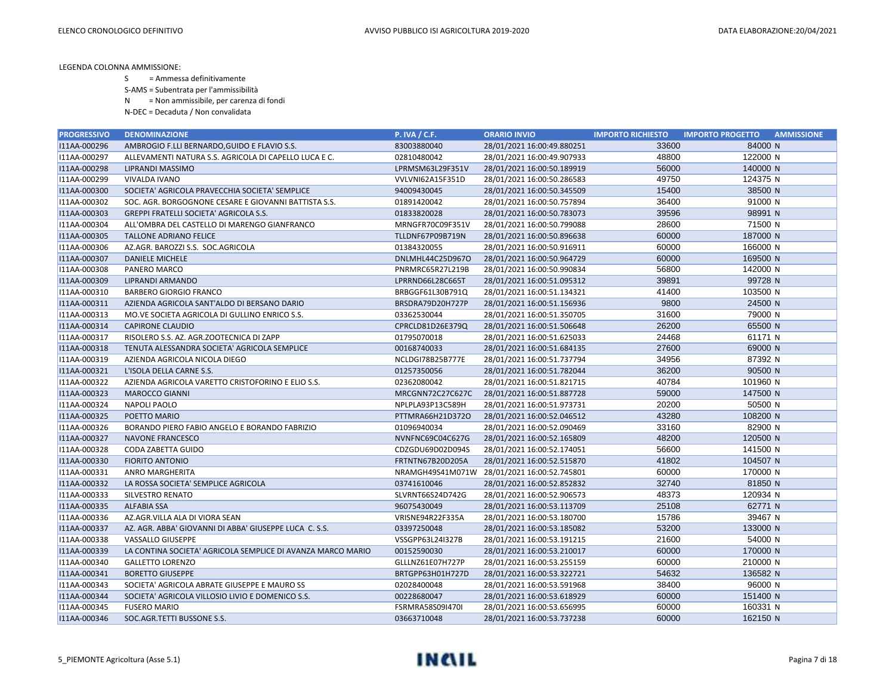S = Ammessa definitivamente

S-AMS = Subentrata per l'ammissibilità

N = Non ammissibile, per carenza di fondi

| <b>PROGRESSIVO</b> | <b>DENOMINAZIONE</b>                                        | <b>P. IVA / C.F.</b>    | <b>ORARIO INVIO</b>        | <b>IMPORTO RICHIESTO</b> | <b>AMMISSIONE</b><br><b>IMPORTO PROGETTO</b> |
|--------------------|-------------------------------------------------------------|-------------------------|----------------------------|--------------------------|----------------------------------------------|
| I11AA-000296       | AMBROGIO F.LLI BERNARDO, GUIDO E FLAVIO S.S.                | 83003880040             | 28/01/2021 16:00:49.880251 | 33600                    | 84000 N                                      |
| I11AA-000297       | ALLEVAMENTI NATURA S.S. AGRICOLA DI CAPELLO LUCA E C.       | 02810480042             | 28/01/2021 16:00:49.907933 | 48800                    | 122000 N                                     |
| I11AA-000298       | LIPRANDI MASSIMO                                            | LPRMSM63L29F351V        | 28/01/2021 16:00:50.189919 | 56000                    | 140000 N                                     |
| I11AA-000299       | VIVALDA IVANO                                               | VVLVNI62A15F351D        | 28/01/2021 16:00:50.286583 | 49750                    | 124375 N                                     |
| I11AA-000300       | SOCIETA' AGRICOLA PRAVECCHIA SOCIETA' SEMPLICE              | 94009430045             | 28/01/2021 16:00:50.345509 | 15400                    | 38500 N                                      |
| I11AA-000302       | SOC. AGR. BORGOGNONE CESARE E GIOVANNI BATTISTA S.S.        | 01891420042             | 28/01/2021 16:00:50.757894 | 36400                    | 91000 N                                      |
| I11AA-000303       | <b>GREPPI FRATELLI SOCIETA' AGRICOLA S.S.</b>               | 01833820028             | 28/01/2021 16:00:50.783073 | 39596                    | 98991 N                                      |
| I11AA-000304       | ALL'OMBRA DEL CASTELLO DI MARENGO GIANFRANCO                | MRNGFR70C09F351V        | 28/01/2021 16:00:50.799088 | 28600                    | 71500 N                                      |
| I11AA-000305       | <b>TALLONE ADRIANO FELICE</b>                               | TLLDNF67P09B719N        | 28/01/2021 16:00:50.896638 | 60000                    | 187000 N                                     |
| I11AA-000306       | AZ.AGR. BAROZZI S.S. SOC.AGRICOLA                           | 01384320055             | 28/01/2021 16:00:50.916911 | 60000                    | 166000 N                                     |
| I11AA-000307       | <b>DANIELE MICHELE</b>                                      | DNLMHL44C25D967O        | 28/01/2021 16:00:50.964729 | 60000                    | 169500 N                                     |
| I11AA-000308       | PANERO MARCO                                                | PNRMRC65R27L219B        | 28/01/2021 16:00:50.990834 | 56800                    | 142000 N                                     |
| I11AA-000309       | LIPRANDI ARMANDO                                            | LPRRND66L28C665T        | 28/01/2021 16:00:51.095312 | 39891                    | 99728 N                                      |
| I11AA-000310       | <b>BARBERO GIORGIO FRANCO</b>                               | BRBGGF61L30B791Q        | 28/01/2021 16:00:51.134321 | 41400                    | 103500 N                                     |
| I11AA-000311       | AZIENDA AGRICOLA SANT'ALDO DI BERSANO DARIO                 | BRSDRA79D20H727P        | 28/01/2021 16:00:51.156936 | 9800                     | 24500 N                                      |
| I11AA-000313       | MO. VE SOCIETA AGRICOLA DI GULLINO ENRICO S.S.              | 03362530044             | 28/01/2021 16:00:51.350705 | 31600                    | 79000 N                                      |
| I11AA-000314       | <b>CAPIRONE CLAUDIO</b>                                     | CPRCLD81D26E379Q        | 28/01/2021 16:00:51.506648 | 26200                    | 65500 N                                      |
| I11AA-000317       | RISOLERO S.S. AZ. AGR.ZOOTECNICA DI ZAPP                    | 01795070018             | 28/01/2021 16:00:51.625033 | 24468                    | 61171 N                                      |
| I11AA-000318       | TENUTA ALESSANDRA SOCIETA' AGRICOLA SEMPLICE                | 00168740033             | 28/01/2021 16:00:51.684135 | 27600                    | 69000 N                                      |
| I11AA-000319       | AZIENDA AGRICOLA NICOLA DIEGO                               | NCLDGI78B25B777E        | 28/01/2021 16:00:51.737794 | 34956                    | 87392 N                                      |
| I11AA-000321       | L'ISOLA DELLA CARNE S.S.                                    | 01257350056             | 28/01/2021 16:00:51.782044 | 36200                    | 90500 N                                      |
| I11AA-000322       | AZIENDA AGRICOLA VARETTO CRISTOFORINO E ELIO S.S.           | 02362080042             | 28/01/2021 16:00:51.821715 | 40784                    | 101960 N                                     |
| I11AA-000323       | <b>MAROCCO GIANNI</b>                                       | MRCGNN72C27C627C        | 28/01/2021 16:00:51.887728 | 59000                    | 147500 N                                     |
| I11AA-000324       | <b>NAPOLI PAOLO</b>                                         | NPLPLA93P13C589H        | 28/01/2021 16:00:51.973731 | 20200                    | 50500 N                                      |
| I11AA-000325       | POETTO MARIO                                                | PTTMRA66H21D372O        | 28/01/2021 16:00:52.046512 | 43280                    | 108200 N                                     |
| I11AA-000326       | BORANDO PIERO FABIO ANGELO E BORANDO FABRIZIO               | 01096940034             | 28/01/2021 16:00:52.090469 | 33160                    | 82900 N                                      |
| I11AA-000327       | <b>NAVONE FRANCESCO</b>                                     | NVNFNC69C04C627G        | 28/01/2021 16:00:52.165809 | 48200                    | 120500 N                                     |
| I11AA-000328       | CODA ZABETTA GUIDO                                          | CDZGDU69D02D094S        | 28/01/2021 16:00:52.174051 | 56600                    | 141500 N                                     |
| I11AA-000330       | <b>FIORITO ANTONIO</b>                                      | FRTNTN67B20D205A        | 28/01/2021 16:00:52.515870 | 41802                    | 104507 N                                     |
| I11AA-000331       | ANRO MARGHERITA                                             | NRAMGH49S41M071W        | 28/01/2021 16:00:52.745801 | 60000                    | 170000 N                                     |
| I11AA-000332       | LA ROSSA SOCIETA' SEMPLICE AGRICOLA                         | 03741610046             | 28/01/2021 16:00:52.852832 | 32740                    | 81850 N                                      |
| I11AA-000333       | <b>SILVESTRO RENATO</b>                                     | SLVRNT66S24D742G        | 28/01/2021 16:00:52.906573 | 48373                    | 120934 N                                     |
| I11AA-000335       | <b>ALFABIA SSA</b>                                          | 96075430049             | 28/01/2021 16:00:53.113709 | 25108                    | 62771 N                                      |
| I11AA-000336       | AZ.AGR.VILLA ALA DI VIORA SEAN                              | VRISNE94R22F335A        | 28/01/2021 16:00:53.180700 | 15786                    | 39467 N                                      |
| I11AA-000337       | AZ. AGR. ABBA' GIOVANNI DI ABBA' GIUSEPPE LUCA C. S.S.      | 03397250048             | 28/01/2021 16:00:53.185082 | 53200                    | 133000 N                                     |
| I11AA-000338       | VASSALLO GIUSEPPE                                           | VSSGPP63L24I327B        | 28/01/2021 16:00:53.191215 | 21600                    | 54000 N                                      |
| I11AA-000339       | LA CONTINA SOCIETA' AGRICOLA SEMPLICE DI AVANZA MARCO MARIO | 00152590030             | 28/01/2021 16:00:53.210017 | 60000                    | 170000 N                                     |
| I11AA-000340       | <b>GALLETTO LORENZO</b>                                     | GLLLNZ61E07H727P        | 28/01/2021 16:00:53.255159 | 60000                    | 210000 N                                     |
| I11AA-000341       | <b>BORETTO GIUSEPPE</b>                                     | BRTGPP63H01H727D        | 28/01/2021 16:00:53.322721 | 54632                    | 136582 N                                     |
| I11AA-000343       | SOCIETA' AGRICOLA ABRATE GIUSEPPE E MAURO SS                | 02028400048             | 28/01/2021 16:00:53.591968 | 38400                    | 96000 N                                      |
| I11AA-000344       | SOCIETA' AGRICOLA VILLOSIO LIVIO E DOMENICO S.S.            | 00228680047             | 28/01/2021 16:00:53.618929 | 60000                    | 151400 N                                     |
| I11AA-000345       | <b>FUSERO MARIO</b>                                         | <b>FSRMRA58S09I470I</b> | 28/01/2021 16:00:53.656995 | 60000                    | 160331 N                                     |
| I11AA-000346       | SOC.AGR.TETTI BUSSONE S.S.                                  | 03663710048             | 28/01/2021 16:00:53.737238 | 60000                    | 162150 N                                     |

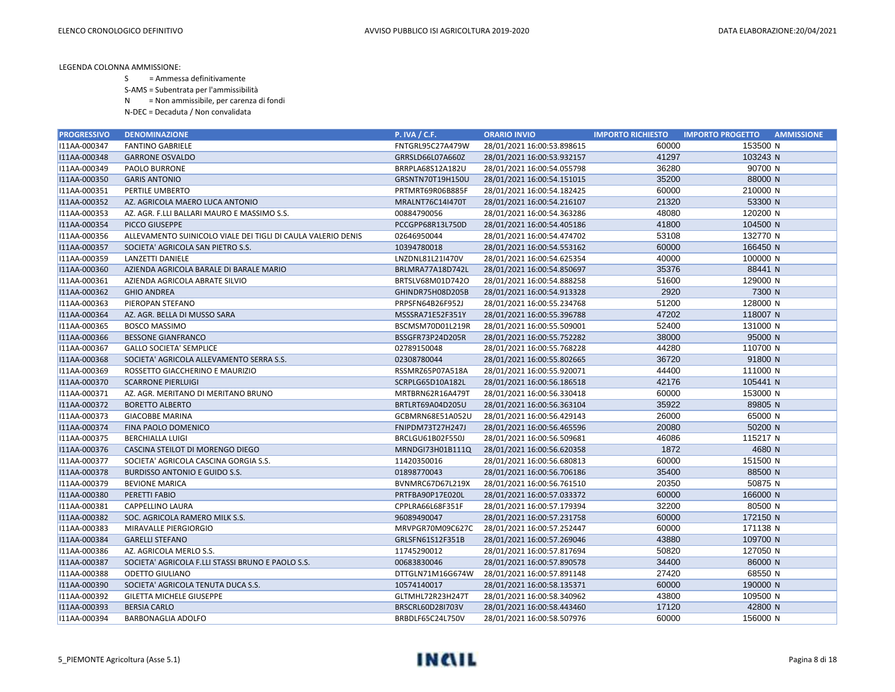- S = Ammessa definitivamente
- S-AMS = Subentrata per l'ammissibilità
- N = Non ammissibile, per carenza di fondi
- N-DEC = Decaduta / Non convalidata

| <b>PROGRESSIVO</b> | <b>DENOMINAZIONE</b>                                         | <b>P. IVA / C.F.</b> | <b>ORARIO INVIO</b>        | <b>IMPORTO RICHIESTO</b> | <b>IMPORTO PROGETTO</b><br><b>AMMISSIONE</b> |
|--------------------|--------------------------------------------------------------|----------------------|----------------------------|--------------------------|----------------------------------------------|
| I11AA-000347       | <b>FANTINO GABRIELE</b>                                      | FNTGRL95C27A479W     | 28/01/2021 16:00:53.898615 | 60000                    | 153500 N                                     |
| I11AA-000348       | <b>GARRONE OSVALDO</b>                                       | GRRSLD66L07A660Z     | 28/01/2021 16:00:53.932157 | 41297                    | 103243 N                                     |
| I11AA-000349       | PAOLO BURRONE                                                | BRRPLA68S12A182U     | 28/01/2021 16:00:54.055798 | 36280                    | 90700 N                                      |
| I11AA-000350       | <b>GARIS ANTONIO</b>                                         | GRSNTN70T19H150U     | 28/01/2021 16:00:54.151015 | 35200                    | 88000 N                                      |
| I11AA-000351       | PERTILE UMBERTO                                              | PRTMRT69R06B885F     | 28/01/2021 16:00:54.182425 | 60000                    | 210000 N                                     |
| I11AA-000352       | AZ. AGRICOLA MAERO LUCA ANTONIO                              | MRALNT76C14I470T     | 28/01/2021 16:00:54.216107 | 21320                    | 53300 N                                      |
| I11AA-000353       | AZ. AGR. F.LLI BALLARI MAURO E MASSIMO S.S.                  | 00884790056          | 28/01/2021 16:00:54.363286 | 48080                    | 120200 N                                     |
| I11AA-000354       | PICCO GIUSEPPE                                               | PCCGPP68R13L750D     | 28/01/2021 16:00:54.405186 | 41800                    | 104500 N                                     |
| I11AA-000356       | ALLEVAMENTO SUINICOLO VIALE DEI TIGLI DI CAULA VALERIO DENIS | 02646950044          | 28/01/2021 16:00:54.474702 | 53108                    | 132770 N                                     |
| I11AA-000357       | SOCIETA' AGRICOLA SAN PIETRO S.S.                            | 10394780018          | 28/01/2021 16:00:54.553162 | 60000                    | 166450 N                                     |
| I11AA-000359       | LANZETTI DANIELE                                             | LNZDNL81L21I470V     | 28/01/2021 16:00:54.625354 | 40000                    | 100000 N                                     |
| I11AA-000360       | AZIENDA AGRICOLA BARALE DI BARALE MARIO                      | BRLMRA77A18D742L     | 28/01/2021 16:00:54.850697 | 35376                    | 88441 N                                      |
| I11AA-000361       | AZIENDA AGRICOLA ABRATE SILVIO                               | BRTSLV68M01D742O     | 28/01/2021 16:00:54.888258 | 51600                    | 129000 N                                     |
| I11AA-000362       | <b>GHIO ANDREA</b>                                           | GHINDR75H08D205B     | 28/01/2021 16:00:54.913328 | 2920                     | 7300 N                                       |
| I11AA-000363       | PIEROPAN STEFANO                                             | PRPSFN64B26F952J     | 28/01/2021 16:00:55.234768 | 51200                    | 128000 N                                     |
| I11AA-000364       | AZ. AGR. BELLA DI MUSSO SARA                                 | MSSSRA71E52F351Y     | 28/01/2021 16:00:55.396788 | 47202                    | 118007 N                                     |
| I11AA-000365       | <b>BOSCO MASSIMO</b>                                         | BSCMSM70D01L219R     | 28/01/2021 16:00:55.509001 | 52400                    | 131000 N                                     |
| I11AA-000366       | <b>BESSONE GIANFRANCO</b>                                    | BSSGFR73P24D205R     | 28/01/2021 16:00:55.752282 | 38000                    | 95000 N                                      |
| I11AA-000367       | <b>GALLO SOCIETA' SEMPLICE</b>                               | 02789150048          | 28/01/2021 16:00:55.768228 | 44280                    | 110700 N                                     |
| I11AA-000368       | SOCIETA' AGRICOLA ALLEVAMENTO SERRA S.S.                     | 02308780044          | 28/01/2021 16:00:55.802665 | 36720                    | 91800 N                                      |
| I11AA-000369       | ROSSETTO GIACCHERINO E MAURIZIO                              | RSSMRZ65P07A518A     | 28/01/2021 16:00:55.920071 | 44400                    | 111000 N                                     |
| I11AA-000370       | <b>SCARRONE PIERLUIGI</b>                                    | SCRPLG65D10A182L     | 28/01/2021 16:00:56.186518 | 42176                    | 105441 N                                     |
| I11AA-000371       | AZ. AGR. MERITANO DI MERITANO BRUNO                          | MRTBRN62R16A479T     | 28/01/2021 16:00:56.330418 | 60000                    | 153000 N                                     |
| I11AA-000372       | <b>BORETTO ALBERTO</b>                                       | BRTLRT69A04D205U     | 28/01/2021 16:00:56.363104 | 35922                    | 89805 N                                      |
| I11AA-000373       | <b>GIACOBBE MARINA</b>                                       | GCBMRN68E51A052U     | 28/01/2021 16:00:56.429143 | 26000                    | 65000 N                                      |
| I11AA-000374       | FINA PAOLO DOMENICO                                          | FNIPDM73T27H247J     | 28/01/2021 16:00:56.465596 | 20080                    | 50200 N                                      |
| I11AA-000375       | <b>BERCHIALLA LUIGI</b>                                      | BRCLGU61B02F550J     | 28/01/2021 16:00:56.509681 | 46086                    | 115217 N                                     |
| I11AA-000376       | CASCINA STEILOT DI MORENGO DIEGO                             | MRNDGI73H01B111Q     | 28/01/2021 16:00:56.620358 | 1872                     | 4680 N                                       |
| I11AA-000377       | SOCIETA' AGRICOLA CASCINA GORGIA S.S.                        | 11420350016          | 28/01/2021 16:00:56.680813 | 60000                    | 151500 N                                     |
| I11AA-000378       | <b>BURDISSO ANTONIO E GUIDO S.S.</b>                         | 01898770043          | 28/01/2021 16:00:56.706186 | 35400                    | 88500 N                                      |
| I11AA-000379       | <b>BEVIONE MARICA</b>                                        | BVNMRC67D67L219X     | 28/01/2021 16:00:56.761510 | 20350                    | 50875 N                                      |
| I11AA-000380       | PERETTI FABIO                                                | PRTFBA90P17E020L     | 28/01/2021 16:00:57.033372 | 60000                    | 166000 N                                     |
| I11AA-000381       | <b>CAPPELLINO LAURA</b>                                      | CPPLRA66L68F351F     | 28/01/2021 16:00:57.179394 | 32200                    | 80500 N                                      |
| I11AA-000382       | SOC. AGRICOLA RAMERO MILK S.S.                               | 96089490047          | 28/01/2021 16:00:57.231758 | 60000                    | 172150 N                                     |
| I11AA-000383       | MIRAVALLE PIERGIORGIO                                        | MRVPGR70M09C627C     | 28/01/2021 16:00:57.252447 | 60000                    | 171138 N                                     |
| I11AA-000384       | <b>GARELLI STEFANO</b>                                       | GRLSFN61S12F351B     | 28/01/2021 16:00:57.269046 | 43880                    | 109700 N                                     |
| I11AA-000386       | AZ. AGRICOLA MERLO S.S.                                      | 11745290012          | 28/01/2021 16:00:57.817694 | 50820                    | 127050 N                                     |
| I11AA-000387       | SOCIETA' AGRICOLA F.LLI STASSI BRUNO E PAOLO S.S.            | 00683830046          | 28/01/2021 16:00:57.890578 | 34400                    | 86000 N                                      |
| I11AA-000388       | <b>ODETTO GIULIANO</b>                                       | DTTGLN71M16G674W     | 28/01/2021 16:00:57.891148 | 27420                    | 68550 N                                      |
| I11AA-000390       | SOCIETA' AGRICOLA TENUTA DUCA S.S.                           | 10574140017          | 28/01/2021 16:00:58.135371 | 60000                    | 190000 N                                     |
| I11AA-000392       | <b>GILETTA MICHELE GIUSEPPE</b>                              | GLTMHL72R23H247T     | 28/01/2021 16:00:58.340962 | 43800                    | 109500 N                                     |
| I11AA-000393       | <b>BERSIA CARLO</b>                                          | BRSCRL60D28I703V     | 28/01/2021 16:00:58.443460 | 17120                    | 42800 N                                      |
| I11AA-000394       | <b>BARBONAGLIA ADOLFO</b>                                    | BRBDLF65C24L750V     | 28/01/2021 16:00:58.507976 | 60000                    | 156000 N                                     |

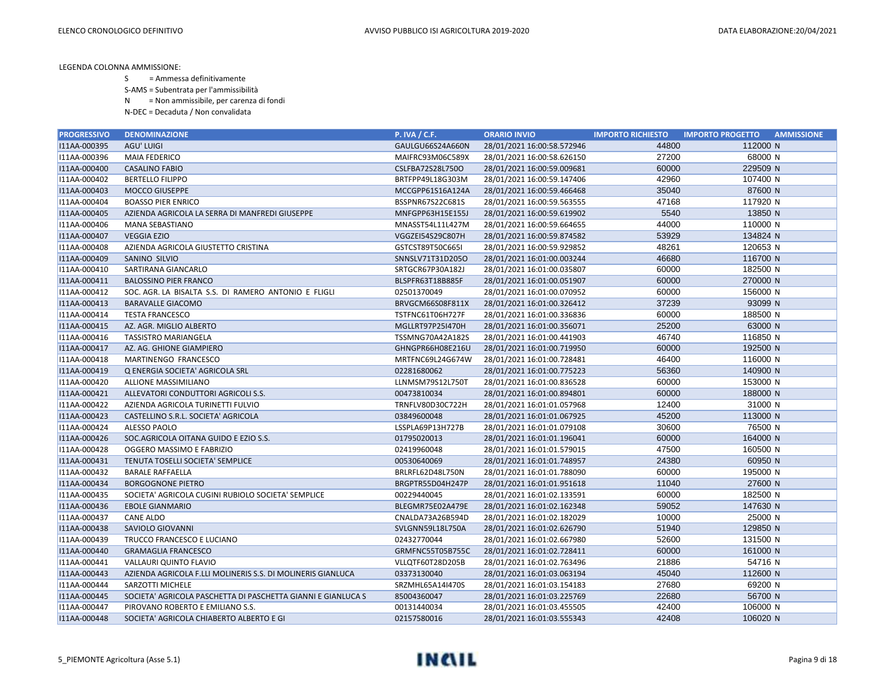- S = Ammessa definitivamente
- S-AMS = Subentrata per l'ammissibilità
- N = Non ammissibile, per carenza di fondi
- N-DEC = Decaduta / Non convalidata

| <b>PROGRESSIVO</b> | <b>DENOMINAZIONE</b>                                         | <b>P. IVA / C.F.</b> | <b>ORARIO INVIO</b>        | <b>IMPORTO RICHIESTO</b> | <b>IMPORTO PROGETTO</b><br><b>AMMISSIONE</b> |
|--------------------|--------------------------------------------------------------|----------------------|----------------------------|--------------------------|----------------------------------------------|
| I11AA-000395       | AGU' LUIGI                                                   | GAULGU66S24A660N     | 28/01/2021 16:00:58.572946 | 44800                    | 112000 N                                     |
| I11AA-000396       | MAIA FEDERICO                                                | MAIFRC93M06C589X     | 28/01/2021 16:00:58.626150 | 27200                    | 68000 N                                      |
| I11AA-000400       | <b>CASALINO FABIO</b>                                        | CSLFBA72S28L750O     | 28/01/2021 16:00:59.009681 | 60000                    | 229509 N                                     |
| I11AA-000402       | <b>BERTELLO FILIPPO</b>                                      | BRTFPP49L18G303M     | 28/01/2021 16:00:59.147406 | 42960                    | 107400 N                                     |
| I11AA-000403       | <b>MOCCO GIUSEPPE</b>                                        | MCCGPP61S16A124A     | 28/01/2021 16:00:59.466468 | 35040                    | 87600 N                                      |
| I11AA-000404       | <b>BOASSO PIER ENRICO</b>                                    | BSSPNR67S22C681S     | 28/01/2021 16:00:59.563555 | 47168                    | 117920 N                                     |
| I11AA-000405       | AZIENDA AGRICOLA LA SERRA DI MANFREDI GIUSEPPE               | MNFGPP63H15E155J     | 28/01/2021 16:00:59.619902 | 5540                     | 13850 N                                      |
| I11AA-000406       | <b>MANA SEBASTIANO</b>                                       | MNASST54L11L427M     | 28/01/2021 16:00:59.664655 | 44000                    | 110000 N                                     |
| I11AA-000407       | <b>VEGGIA EZIO</b>                                           | VGGZEI54S29C807H     | 28/01/2021 16:00:59.874582 | 53929                    | 134824 N                                     |
| I11AA-000408       | AZIENDA AGRICOLA GIUSTETTO CRISTINA                          | GSTCST89T50C665I     | 28/01/2021 16:00:59.929852 | 48261                    | 120653 N                                     |
| I11AA-000409       | SANINO SILVIO                                                | SNNSLV71T31D205O     | 28/01/2021 16:01:00.003244 | 46680                    | 116700 N                                     |
| I11AA-000410       | SARTIRANA GIANCARLO                                          | SRTGCR67P30A182J     | 28/01/2021 16:01:00.035807 | 60000                    | 182500 N                                     |
| I11AA-000411       | <b>BALOSSINO PIER FRANCO</b>                                 | BLSPFR63T18B885F     | 28/01/2021 16:01:00.051907 | 60000                    | 270000 N                                     |
| I11AA-000412       | SOC. AGR. LA BISALTA S.S. DI RAMERO ANTONIO E FLIGLI         | 02501370049          | 28/01/2021 16:01:00.070952 | 60000                    | 156000 N                                     |
| I11AA-000413       | <b>BARAVALLE GIACOMO</b>                                     | BRVGCM66S08F811X     | 28/01/2021 16:01:00.326412 | 37239                    | 93099 N                                      |
| I11AA-000414       | <b>TESTA FRANCESCO</b>                                       | TSTFNC61T06H727F     | 28/01/2021 16:01:00.336836 | 60000                    | 188500 N                                     |
| I11AA-000415       | AZ. AGR. MIGLIO ALBERTO                                      | MGLLRT97P25I470H     | 28/01/2021 16:01:00.356071 | 25200                    | 63000 N                                      |
| I11AA-000416       | <b>TASSISTRO MARIANGELA</b>                                  | TSSMNG70A42A182S     | 28/01/2021 16:01:00.441903 | 46740                    | 116850 N                                     |
| I11AA-000417       | AZ. AG. GHIONE GIAMPIERO                                     | GHNGPR66H08E216U     | 28/01/2021 16:01:00.719950 | 60000                    | 192500 N                                     |
| I11AA-000418       | MARTINENGO FRANCESCO                                         | MRTFNC69L24G674W     | 28/01/2021 16:01:00.728481 | 46400                    | 116000 N                                     |
| I11AA-000419       | Q ENERGIA SOCIETA' AGRICOLA SRL                              | 02281680062          | 28/01/2021 16:01:00.775223 | 56360                    | 140900 N                                     |
| I11AA-000420       | ALLIONE MASSIMILIANO                                         | LLNMSM79S12L750T     | 28/01/2021 16:01:00.836528 | 60000                    | 153000 N                                     |
| I11AA-000421       | ALLEVATORI CONDUTTORI AGRICOLI S.S.                          | 00473810034          | 28/01/2021 16:01:00.894801 | 60000                    | 188000 N                                     |
| I11AA-000422       | AZIENDA AGRICOLA TURINETTI FULVIO                            | TRNFLV80D30C722H     | 28/01/2021 16:01:01.057968 | 12400                    | 31000 N                                      |
| I11AA-000423       | CASTELLINO S.R.L. SOCIETA' AGRICOLA                          | 03849600048          | 28/01/2021 16:01:01.067925 | 45200                    | 113000 N                                     |
| I11AA-000424       | <b>ALESSO PAOLO</b>                                          | LSSPLA69P13H727B     | 28/01/2021 16:01:01.079108 | 30600                    | 76500 N                                      |
| I11AA-000426       | SOC.AGRICOLA OITANA GUIDO E EZIO S.S.                        | 01795020013          | 28/01/2021 16:01:01.196041 | 60000                    | 164000 N                                     |
| I11AA-000428       | OGGERO MASSIMO E FABRIZIO                                    | 02419960048          | 28/01/2021 16:01:01.579015 | 47500                    | 160500 N                                     |
| I11AA-000431       | TENUTA TOSELLI SOCIETA' SEMPLICE                             | 00530640069          | 28/01/2021 16:01:01.748957 | 24380                    | 60950 N                                      |
| I11AA-000432       | <b>BARALE RAFFAELLA</b>                                      | BRLRFL62D48L750N     | 28/01/2021 16:01:01.788090 | 60000                    | 195000 N                                     |
| I11AA-000434       | <b>BORGOGNONE PIETRO</b>                                     | BRGPTR55D04H247P     | 28/01/2021 16:01:01.951618 | 11040                    | 27600 N                                      |
| I11AA-000435       | SOCIETA' AGRICOLA CUGINI RUBIOLO SOCIETA' SEMPLICE           | 00229440045          | 28/01/2021 16:01:02.133591 | 60000                    | 182500 N                                     |
| I11AA-000436       | <b>EBOLE GIANMARIO</b>                                       | BLEGMR75E02A479E     | 28/01/2021 16:01:02.162348 | 59052                    | 147630 N                                     |
| I11AA-000437       | <b>CANE ALDO</b>                                             | CNALDA73A26B594D     | 28/01/2021 16:01:02.182029 | 10000                    | 25000 N                                      |
| I11AA-000438       | SAVIOLO GIOVANNI                                             | SVLGNN59L18L750A     | 28/01/2021 16:01:02.626790 | 51940                    | 129850 N                                     |
| I11AA-000439       | TRUCCO FRANCESCO E LUCIANO                                   | 02432770044          | 28/01/2021 16:01:02.667980 | 52600                    | 131500 N                                     |
| I11AA-000440       | <b>GRAMAGLIA FRANCESCO</b>                                   | GRMFNC55T05B755C     | 28/01/2021 16:01:02.728411 | 60000                    | 161000 N                                     |
| I11AA-000441       | <b>VALLAURI QUINTO FLAVIO</b>                                | VLLQTF60T28D205B     | 28/01/2021 16:01:02.763496 | 21886                    | 54716 N                                      |
| I11AA-000443       | AZIENDA AGRICOLA F.LLI MOLINERIS S.S. DI MOLINERIS GIANLUCA  | 03373130040          | 28/01/2021 16:01:03.063194 | 45040                    | 112600 N                                     |
| I11AA-000444       | SARZOTTI MICHELE                                             | SRZMHL65A14I470S     | 28/01/2021 16:01:03.154183 | 27680                    | 69200 N                                      |
| I11AA-000445       | SOCIETA' AGRICOLA PASCHETTA DI PASCHETTA GIANNI E GIANLUCA S | 85004360047          | 28/01/2021 16:01:03.225769 | 22680                    | 56700 N                                      |
| I11AA-000447       | PIROVANO ROBERTO E EMILIANO S.S.                             | 00131440034          | 28/01/2021 16:01:03.455505 | 42400                    | 106000 N                                     |
| I11AA-000448       | SOCIETA' AGRICOLA CHIABERTO ALBERTO E GI                     | 02157580016          | 28/01/2021 16:01:03.555343 | 42408                    | 106020 N                                     |

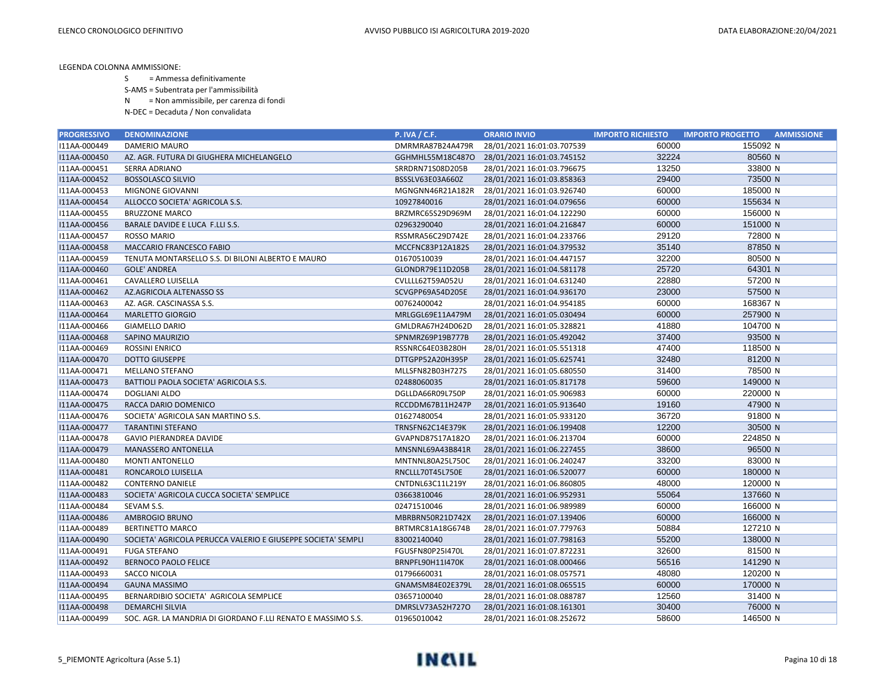- S = Ammessa definitivamente
- S-AMS = Subentrata per l'ammissibilità
- N = Non ammissibile, per carenza di fondi
- N-DEC = Decaduta / Non convalidata

| <b>PROGRESSIVO</b> | <b>DENOMINAZIONE</b>                                         | <b>P. IVA / C.F.</b>    | <b>ORARIO INVIO</b>        | <b>IMPORTO RICHIESTO</b> | <b>IMPORTO PROGETTO</b><br><b>AMMISSIONE</b> |
|--------------------|--------------------------------------------------------------|-------------------------|----------------------------|--------------------------|----------------------------------------------|
| I11AA-000449       | DAMERIO MAURO                                                | DMRMRA87B24A479R        | 28/01/2021 16:01:03.707539 | 60000                    | 155092 N                                     |
| I11AA-000450       | AZ. AGR. FUTURA DI GIUGHERA MICHELANGELO                     | GGHMHL55M18C487O        | 28/01/2021 16:01:03.745152 | 32224                    | 80560 N                                      |
| I11AA-000451       | SERRA ADRIANO                                                | SRRDRN71S08D205B        | 28/01/2021 16:01:03.796675 | 13250                    | 33800 N                                      |
| I11AA-000452       | <b>BOSSOLASCO SILVIO</b>                                     | BSSSLV63E03A660Z        | 28/01/2021 16:01:03.858363 | 29400                    | 73500 N                                      |
| I11AA-000453       | MIGNONE GIOVANNI                                             | MGNGNN46R21A182R        | 28/01/2021 16:01:03.926740 | 60000                    | 185000 N                                     |
| I11AA-000454       | ALLOCCO SOCIETA' AGRICOLA S.S.                               | 10927840016             | 28/01/2021 16:01:04.079656 | 60000                    | 155634 N                                     |
| I11AA-000455       | <b>BRUZZONE MARCO</b>                                        | BRZMRC65S29D969M        | 28/01/2021 16:01:04.122290 | 60000                    | 156000 N                                     |
| I11AA-000456       | BARALE DAVIDE E LUCA F.LLI S.S.                              | 02963290040             | 28/01/2021 16:01:04.216847 | 60000                    | 151000 N                                     |
| I11AA-000457       | <b>ROSSO MARIO</b>                                           | RSSMRA56C29D742E        | 28/01/2021 16:01:04.233766 | 29120                    | 72800 N                                      |
| I11AA-000458       | MACCARIO FRANCESCO FABIO                                     | MCCFNC83P12A182S        | 28/01/2021 16:01:04.379532 | 35140                    | 87850 N                                      |
| I11AA-000459       | TENUTA MONTARSELLO S.S. DI BILONI ALBERTO E MAURO            | 01670510039             | 28/01/2021 16:01:04.447157 | 32200                    | 80500 N                                      |
| I11AA-000460       | <b>GOLE' ANDREA</b>                                          | GLONDR79E11D205B        | 28/01/2021 16:01:04.581178 | 25720                    | 64301 N                                      |
| I11AA-000461       | CAVALLERO LUISELLA                                           | CVLLLL62T59A052U        | 28/01/2021 16:01:04.631240 | 22880                    | 57200 N                                      |
| I11AA-000462       | AZ.AGRICOLA ALTENASSO SS                                     | SCVGPP69A54D205E        | 28/01/2021 16:01:04.936170 | 23000                    | 57500 N                                      |
| I11AA-000463       | AZ. AGR. CASCINASSA S.S.                                     | 00762400042             | 28/01/2021 16:01:04.954185 | 60000                    | 168367 N                                     |
| I11AA-000464       | <b>MARLETTO GIORGIO</b>                                      | MRLGGL69E11A479M        | 28/01/2021 16:01:05.030494 | 60000                    | 257900 N                                     |
| I11AA-000466       | <b>GIAMELLO DARIO</b>                                        | GMLDRA67H24D062D        | 28/01/2021 16:01:05.328821 | 41880                    | 104700 N                                     |
| I11AA-000468       | SAPINO MAURIZIO                                              | SPNMRZ69P19B777B        | 28/01/2021 16:01:05.492042 | 37400                    | 93500 N                                      |
| I11AA-000469       | <b>ROSSINI ENRICO</b>                                        | RSSNRC64E03B280H        | 28/01/2021 16:01:05.551318 | 47400                    | 118500 N                                     |
| I11AA-000470       | <b>DOTTO GIUSEPPE</b>                                        | DTTGPP52A20H395P        | 28/01/2021 16:01:05.625741 | 32480                    | 81200 N                                      |
| I11AA-000471       | <b>MELLANO STEFANO</b>                                       | MLLSFN82B03H727S        | 28/01/2021 16:01:05.680550 | 31400                    | 78500 N                                      |
| I11AA-000473       | BATTIOLI PAOLA SOCIETA' AGRICOLA S.S.                        | 02488060035             | 28/01/2021 16:01:05.817178 | 59600                    | 149000 N                                     |
| I11AA-000474       | <b>DOGLIANI ALDO</b>                                         | DGLLDA66R09L750P        | 28/01/2021 16:01:05.906983 | 60000                    | 220000 N                                     |
| I11AA-000475       | RACCA DARIO DOMENICO                                         | RCCDDM67B11H247P        | 28/01/2021 16:01:05.913640 | 19160                    | 47900 N                                      |
| I11AA-000476       | SOCIETA' AGRICOLA SAN MARTINO S.S.                           | 01627480054             | 28/01/2021 16:01:05.933120 | 36720                    | 91800 N                                      |
| I11AA-000477       | <b>TARANTINI STEFANO</b>                                     | <b>TRNSFN62C14E379K</b> | 28/01/2021 16:01:06.199408 | 12200                    | 30500 N                                      |
| I11AA-000478       | <b>GAVIO PIERANDREA DAVIDE</b>                               | GVAPND87S17A182O        | 28/01/2021 16:01:06.213704 | 60000                    | 224850 N                                     |
| I11AA-000479       | <b>MANASSERO ANTONELLA</b>                                   | MNSNNL69A43B841R        | 28/01/2021 16:01:06.227455 | 38600                    | 96500 N                                      |
| I11AA-000480       | <b>MONTI ANTONELLO</b>                                       | MNTNNL80A25L750C        | 28/01/2021 16:01:06.240247 | 33200                    | 83000 N                                      |
| I11AA-000481       | RONCAROLO LUISELLA                                           | RNCLLL70T45L750E        | 28/01/2021 16:01:06.520077 | 60000                    | 180000 N                                     |
| I11AA-000482       | <b>CONTERNO DANIELE</b>                                      | CNTDNL63C11L219Y        | 28/01/2021 16:01:06.860805 | 48000                    | 120000 N                                     |
| I11AA-000483       | SOCIETA' AGRICOLA CUCCA SOCIETA' SEMPLICE                    | 03663810046             | 28/01/2021 16:01:06.952931 | 55064                    | 137660 N                                     |
| I11AA-000484       | SEVAM S.S.                                                   | 02471510046             | 28/01/2021 16:01:06.989989 | 60000                    | 166000 N                                     |
| I11AA-000486       | <b>AMBROGIO BRUNO</b>                                        | MBRBRN50R21D742X        | 28/01/2021 16:01:07.139406 | 60000                    | 166000 N                                     |
| I11AA-000489       | <b>BERTINETTO MARCO</b>                                      | BRTMRC81A18G674B        | 28/01/2021 16:01:07.779763 | 50884                    | 127210 N                                     |
| I11AA-000490       | SOCIETA' AGRICOLA PERUCCA VALERIO E GIUSEPPE SOCIETA' SEMPLI | 83002140040             | 28/01/2021 16:01:07.798163 | 55200                    | 138000 N                                     |
| I11AA-000491       | <b>FUGA STEFANO</b>                                          | FGUSFN80P25I470L        | 28/01/2021 16:01:07.872231 | 32600                    | 81500 N                                      |
| I11AA-000492       | <b>BERNOCO PAOLO FELICE</b>                                  | BRNPFL90H11I470K        | 28/01/2021 16:01:08.000466 | 56516                    | 141290 N                                     |
| I11AA-000493       | SACCO NICOLA                                                 | 01796660031             | 28/01/2021 16:01:08.057571 | 48080                    | 120200 N                                     |
| I11AA-000494       | <b>GAUNA MASSIMO</b>                                         | GNAMSM84E02E379L        | 28/01/2021 16:01:08.065515 | 60000                    | 170000 N                                     |
| I11AA-000495       | BERNARDIBIO SOCIETA' AGRICOLA SEMPLICE                       | 03657100040             | 28/01/2021 16:01:08.088787 | 12560                    | 31400 N                                      |
| I11AA-000498       | <b>DEMARCHI SILVIA</b>                                       | DMRSLV73A52H727O        | 28/01/2021 16:01:08.161301 | 30400                    | 76000 N                                      |
| I11AA-000499       | SOC. AGR. LA MANDRIA DI GIORDANO F.LLI RENATO E MASSIMO S.S. | 01965010042             | 28/01/2021 16:01:08.252672 | 58600                    | 146500 N                                     |

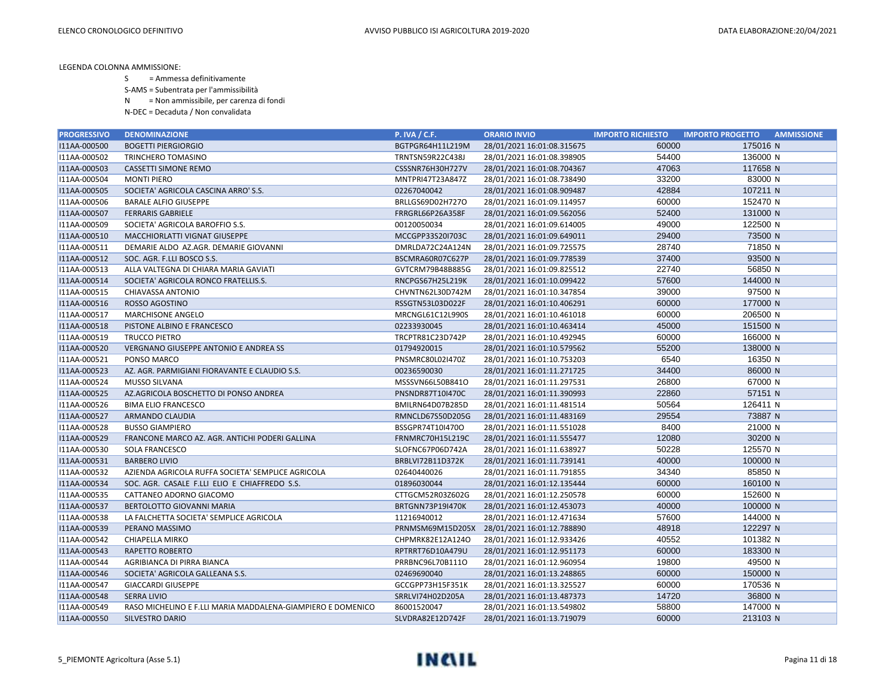- S = Ammessa definitivamente
- S-AMS = Subentrata per l'ammissibilità
- N = Non ammissibile, per carenza di fondi
- N-DEC = Decaduta / Non convalidata

| <b>PROGRESSIVO</b> | <b>DENOMINAZIONE</b>                                        | <b>P. IVA / C.F.</b>    | <b>ORARIO INVIO</b>        | <b>IMPORTO RICHIESTO</b> | <b>IMPORTO PROGETTO</b><br><b>AMMISSIONE</b> |
|--------------------|-------------------------------------------------------------|-------------------------|----------------------------|--------------------------|----------------------------------------------|
| I11AA-000500       | <b>BOGETTI PIERGIORGIO</b>                                  | BGTPGR64H11L219M        | 28/01/2021 16:01:08.315675 | 60000                    | 175016 N                                     |
| I11AA-000502       | TRINCHERO TOMASINO                                          | TRNTSN59R22C438J        | 28/01/2021 16:01:08.398905 | 54400                    | 136000 N                                     |
| I11AA-000503       | <b>CASSETTI SIMONE REMO</b>                                 | CSSSNR76H30H727V        | 28/01/2021 16:01:08.704367 | 47063                    | 117658 N                                     |
| I11AA-000504       | <b>MONTI PIERO</b>                                          | MNTPRI47T23A847Z        | 28/01/2021 16:01:08.738490 | 33200                    | 83000 N                                      |
| I11AA-000505       | SOCIETA' AGRICOLA CASCINA ARRO' S.S.                        | 02267040042             | 28/01/2021 16:01:08.909487 | 42884                    | 107211 N                                     |
| I11AA-000506       | <b>BARALE ALFIO GIUSEPPE</b>                                | BRLLGS69D02H727O        | 28/01/2021 16:01:09.114957 | 60000                    | 152470 N                                     |
| I11AA-000507       | <b>FERRARIS GABRIELE</b>                                    | FRRGRL66P26A358F        | 28/01/2021 16:01:09.562056 | 52400                    | 131000 N                                     |
| I11AA-000509       | SOCIETA' AGRICOLA BAROFFIO S.S.                             | 00120050034             | 28/01/2021 16:01:09.614005 | 49000                    | 122500 N                                     |
| I11AA-000510       | MACCHIORLATTI VIGNAT GIUSEPPE                               | MCCGPP33S20I703C        | 28/01/2021 16:01:09.649011 | 29400                    | 73500 N                                      |
| I11AA-000511       | DEMARIE ALDO AZ.AGR. DEMARIE GIOVANNI                       | DMRLDA72C24A124N        | 28/01/2021 16:01:09.725575 | 28740                    | 71850 N                                      |
| I11AA-000512       | SOC. AGR. F.LLI BOSCO S.S.                                  | BSCMRA60R07C627P        | 28/01/2021 16:01:09.778539 | 37400                    | 93500 N                                      |
| I11AA-000513       | ALLA VALTEGNA DI CHIARA MARIA GAVIATI                       | GVTCRM79B48B885G        | 28/01/2021 16:01:09.825512 | 22740                    | 56850 N                                      |
| I11AA-000514       | SOCIETA' AGRICOLA RONCO FRATELLIS.S.                        | RNCPGS67H25L219K        | 28/01/2021 16:01:10.099422 | 57600                    | 144000 N                                     |
| I11AA-000515       | CHIAVASSA ANTONIO                                           | CHVNTN62L30D742M        | 28/01/2021 16:01:10.347854 | 39000                    | 97500 N                                      |
| I11AA-000516       | ROSSO AGOSTINO                                              | RSSGTN53L03D022F        | 28/01/2021 16:01:10.406291 | 60000                    | 177000 N                                     |
| I11AA-000517       | <b>MARCHISONE ANGELO</b>                                    | MRCNGL61C12L990S        | 28/01/2021 16:01:10.461018 | 60000                    | 206500 N                                     |
| I11AA-000518       | PISTONE ALBINO E FRANCESCO                                  | 02233930045             | 28/01/2021 16:01:10.463414 | 45000                    | 151500 N                                     |
| I11AA-000519       | <b>TRUCCO PIETRO</b>                                        | TRCPTR81C23D742P        | 28/01/2021 16:01:10.492945 | 60000                    | 166000 N                                     |
| I11AA-000520       | <b>VERGNANO GIUSEPPE ANTONIO E ANDREA SS</b>                | 01794920015             | 28/01/2021 16:01:10.579562 | 55200                    | 138000 N                                     |
| I11AA-000521       | PONSO MARCO                                                 | PNSMRC80L02I470Z        | 28/01/2021 16:01:10.753203 | 6540                     | 16350 N                                      |
| I11AA-000523       | AZ. AGR. PARMIGIANI FIORAVANTE E CLAUDIO S.S.               | 00236590030             | 28/01/2021 16:01:11.271725 | 34400                    | 86000 N                                      |
| I11AA-000524       | <b>MUSSO SILVANA</b>                                        | MSSSVN66L50B841O        | 28/01/2021 16:01:11.297531 | 26800                    | 67000 N                                      |
| I11AA-000525       | AZ.AGRICOLA BOSCHETTO DI PONSO ANDREA                       | PNSNDR87T10I470C        | 28/01/2021 16:01:11.390993 | 22860                    | 57151 N                                      |
| I11AA-000526       | <b>BIMA ELIO FRANCESCO</b>                                  | BMILRN64D07B285D        | 28/01/2021 16:01:11.481514 | 50564                    | 126411 N                                     |
| I11AA-000527       | ARMANDO CLAUDIA                                             | RMNCLD67S50D205G        | 28/01/2021 16:01:11.483169 | 29554                    | 73887 N                                      |
| I11AA-000528       | <b>BUSSO GIAMPIERO</b>                                      | BSSGPR74T10I470O        | 28/01/2021 16:01:11.551028 | 8400                     | 21000 N                                      |
| I11AA-000529       | FRANCONE MARCO AZ. AGR. ANTICHI PODERI GALLINA              | FRNMRC70H15L219C        | 28/01/2021 16:01:11.555477 | 12080                    | 30200 N                                      |
| I11AA-000530       | SOLA FRANCESCO                                              | SLOFNC67P06D742A        | 28/01/2021 16:01:11.638927 | 50228                    | 125570 N                                     |
| I11AA-000531       | <b>BARBERO LIVIO</b>                                        | BRBLVI72B11D372K        | 28/01/2021 16:01:11.739141 | 40000                    | 100000 N                                     |
| I11AA-000532       | AZIENDA AGRICOLA RUFFA SOCIETA' SEMPLICE AGRICOLA           | 02640440026             | 28/01/2021 16:01:11.791855 | 34340                    | 85850 N                                      |
| I11AA-000534       | SOC. AGR. CASALE F.LLI ELIO E CHIAFFREDO S.S.               | 01896030044             | 28/01/2021 16:01:12.135444 | 60000                    | 160100 N                                     |
| I11AA-000535       | CATTANEO ADORNO GIACOMO                                     | CTTGCM52R03Z602G        | 28/01/2021 16:01:12.250578 | 60000                    | 152600 N                                     |
| I11AA-000537       | BERTOLOTTO GIOVANNI MARIA                                   | <b>BRTGNN73P19I470K</b> | 28/01/2021 16:01:12.453073 | 40000                    | 100000 N                                     |
| I11AA-000538       | LA FALCHETTA SOCIETA' SEMPLICE AGRICOLA                     | 11216940012             | 28/01/2021 16:01:12.471634 | 57600                    | 144000 N                                     |
| I11AA-000539       | PERANO MASSIMO                                              | PRNMSM69M15D205X        | 28/01/2021 16:01:12.788890 | 48918                    | 122297 N                                     |
| I11AA-000542       | CHIAPELLA MIRKO                                             | CHPMRK82E12A124O        | 28/01/2021 16:01:12.933426 | 40552                    | 101382 N                                     |
| I11AA-000543       | RAPETTO ROBERTO                                             | RPTRRT76D10A479U        | 28/01/2021 16:01:12.951173 | 60000                    | 183300 N                                     |
| I11AA-000544       | AGRIBIANCA DI PIRRA BIANCA                                  | PRRBNC96L70B111O        | 28/01/2021 16:01:12.960954 | 19800                    | 49500 N                                      |
| I11AA-000546       | SOCIETA' AGRICOLA GALLEANA S.S.                             | 02469690040             | 28/01/2021 16:01:13.248865 | 60000                    | 150000 N                                     |
| I11AA-000547       | <b>GIACCARDI GIUSEPPE</b>                                   | GCCGPP73H15F351K        | 28/01/2021 16:01:13.325527 | 60000                    | 170536 N                                     |
| I11AA-000548       | <b>SERRA LIVIO</b>                                          | SRRLVI74H02D205A        | 28/01/2021 16:01:13.487373 | 14720                    | 36800 N                                      |
| I11AA-000549       | RASO MICHELINO E F.LLI MARIA MADDALENA-GIAMPIERO E DOMENICO | 86001520047             | 28/01/2021 16:01:13.549802 | 58800                    | 147000 N                                     |
| I11AA-000550       | <b>SILVESTRO DARIO</b>                                      | SLVDRA82E12D742F        | 28/01/2021 16:01:13.719079 | 60000                    | 213103 N                                     |

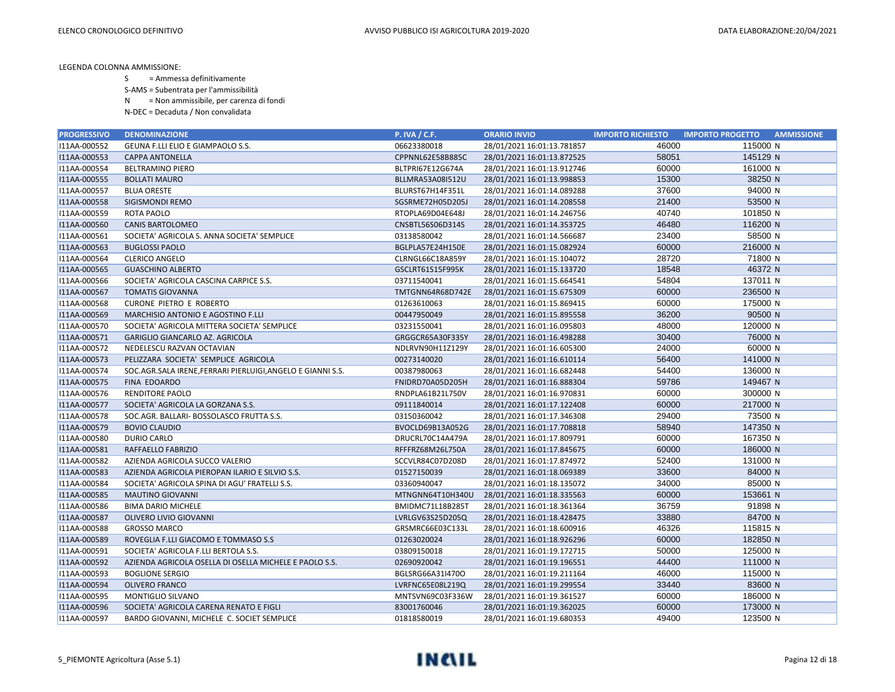S = Ammessa definitivamente

S-AMS = Subentrata per l'ammissibilità

N = Non ammissibile, per carenza di fondi

| <b>PROGRESSIVO</b> | <b>DENOMINAZIONE</b>                                        | <b>P. IVA / C.F.</b> | <b>ORARIO INVIO</b>        | <b>IMPORTO RICHIESTO</b> | <b>AMMISSIONE</b><br><b>IMPORTO PROGETTO</b> |
|--------------------|-------------------------------------------------------------|----------------------|----------------------------|--------------------------|----------------------------------------------|
| I11AA-000552       | GEUNA F.LLI ELIO E GIAMPAOLO S.S.                           | 06623380018          | 28/01/2021 16:01:13.781857 | 46000                    | 115000 N                                     |
| I11AA-000553       | <b>CAPPA ANTONELLA</b>                                      | CPPNNL62E58B885C     | 28/01/2021 16:01:13.872525 | 58051                    | 145129 N                                     |
| I11AA-000554       | <b>BELTRAMINO PIERO</b>                                     | BLTPRI67E12G674A     | 28/01/2021 16:01:13.912746 | 60000                    | 161000 N                                     |
| I11AA-000555       | <b>BOLLATI MAURO</b>                                        | BLLMRA53A08I512U     | 28/01/2021 16:01:13.998853 | 15300                    | 38250 N                                      |
| I11AA-000557       | <b>BLUA ORESTE</b>                                          | BLURST67H14F351L     | 28/01/2021 16:01:14.089288 | 37600                    | 94000 N                                      |
| I11AA-000558       | SIGISMONDI REMO                                             | SGSRME72H05D205J     | 28/01/2021 16:01:14.208558 | 21400                    | 53500 N                                      |
| I11AA-000559       | ROTA PAOLO                                                  | RTOPLA69D04E648J     | 28/01/2021 16:01:14.246756 | 40740                    | 101850 N                                     |
| I11AA-000560       | <b>CANIS BARTOLOMEO</b>                                     | CNSBTL56S06D314S     | 28/01/2021 16:01:14.353725 | 46480                    | 116200 N                                     |
| I11AA-000561       | SOCIETA' AGRICOLA S. ANNA SOCIETA' SEMPLICE                 | 03138580042          | 28/01/2021 16:01:14.566687 | 23400                    | 58500 N                                      |
| I11AA-000563       | <b>BUGLOSSI PAOLO</b>                                       | BGLPLA57E24H150E     | 28/01/2021 16:01:15.082924 | 60000                    | 216000 N                                     |
| I11AA-000564       | <b>CLERICO ANGELO</b>                                       | CLRNGL66C18A859Y     | 28/01/2021 16:01:15.104072 | 28720                    | 71800 N                                      |
| I11AA-000565       | <b>GUASCHINO ALBERTO</b>                                    | GSCLRT61S15F995K     | 28/01/2021 16:01:15.133720 | 18548                    | 46372 N                                      |
| I11AA-000566       | SOCIETA' AGRICOLA CASCINA CARPICE S.S.                      | 03711540041          | 28/01/2021 16:01:15.664541 | 54804                    | 137011 N                                     |
| I11AA-000567       | <b>TOMATIS GIOVANNA</b>                                     | TMTGNN64R68D742E     | 28/01/2021 16:01:15.675309 | 60000                    | 236500 N                                     |
| I11AA-000568       | <b>CURONE PIETRO E ROBERTO</b>                              | 01263610063          | 28/01/2021 16:01:15.869415 | 60000                    | 175000 N                                     |
| I11AA-000569       | MARCHISIO ANTONIO E AGOSTINO F.LLI                          | 00447950049          | 28/01/2021 16:01:15.895558 | 36200                    | 90500 N                                      |
| I11AA-000570       | SOCIETA' AGRICOLA MITTERA SOCIETA' SEMPLICE                 | 03231550041          | 28/01/2021 16:01:16.095803 | 48000                    | 120000 N                                     |
| I11AA-000571       | GARIGLIO GIANCARLO AZ. AGRICOLA                             | GRGGCR65A30F335Y     | 28/01/2021 16:01:16.498288 | 30400                    | 76000 N                                      |
| I11AA-000572       | NEDELESCU RAZVAN OCTAVIAN                                   | NDLRVN90H11Z129Y     | 28/01/2021 16:01:16.605300 | 24000                    | 60000 N                                      |
| I11AA-000573       | PELIZZARA SOCIETA' SEMPLICE AGRICOLA                        | 00273140020          | 28/01/2021 16:01:16.610114 | 56400                    | 141000 N                                     |
| I11AA-000574       | SOC.AGR.SALA IRENE, FERRARI PIERLUIGI, ANGELO E GIANNI S.S. | 00387980063          | 28/01/2021 16:01:16.682448 | 54400                    | 136000 N                                     |
| I11AA-000575       | FINA EDOARDO                                                | FNIDRD70A05D205H     | 28/01/2021 16:01:16.888304 | 59786                    | 149467 N                                     |
| I11AA-000576       | <b>RENDITORE PAOLO</b>                                      | RNDPLA61B21L750V     | 28/01/2021 16:01:16.970831 | 60000                    | 300000 N                                     |
| I11AA-000577       | SOCIETA' AGRICOLA LA GORZANA S.S.                           | 09111840014          | 28/01/2021 16:01:17.122408 | 60000                    | 217000 N                                     |
| I11AA-000578       | SOC.AGR. BALLARI- BOSSOLASCO FRUTTA S.S.                    | 03150360042          | 28/01/2021 16:01:17.346308 | 29400                    | 73500 N                                      |
| I11AA-000579       | <b>BOVIO CLAUDIO</b>                                        | BVOCLD69B13A052G     | 28/01/2021 16:01:17.708818 | 58940                    | 147350 N                                     |
| I11AA-000580       | <b>DURIO CARLO</b>                                          | DRUCRL70C14A479A     | 28/01/2021 16:01:17.809791 | 60000                    | 167350 N                                     |
| I11AA-000581       | RAFFAELLO FABRIZIO                                          | RFFFRZ68M26L750A     | 28/01/2021 16:01:17.845675 | 60000                    | 186000 N                                     |
| I11AA-000582       | AZIENDA AGRICOLA SUCCO VALERIO                              | SCCVLR84C07D208D     | 28/01/2021 16:01:17.874972 | 52400                    | 131000 N                                     |
| I11AA-000583       | AZIENDA AGRICOLA PIEROPAN ILARIO E SILVIO S.S.              | 01527150039          | 28/01/2021 16:01:18.069389 | 33600                    | 84000 N                                      |
| I11AA-000584       | SOCIETA' AGRICOLA SPINA DI AGU' FRATELLI S.S.               | 03360940047          | 28/01/2021 16:01:18.135072 | 34000                    | 85000 N                                      |
| I11AA-000585       | <b>MAUTINO GIOVANNI</b>                                     | MTNGNN64T10H340U     | 28/01/2021 16:01:18.335563 | 60000                    | 153661 N                                     |
| I11AA-000586       | <b>BIMA DARIO MICHELE</b>                                   | BMIDMC71L18B285T     | 28/01/2021 16:01:18.361364 | 36759                    | 91898 N                                      |
| I11AA-000587       | OLIVERO LIVIO GIOVANNI                                      | LVRLGV63S25D205Q     | 28/01/2021 16:01:18.428475 | 33880                    | 84700 N                                      |
| I11AA-000588       | <b>GROSSO MARCO</b>                                         | GRSMRC66E03C133L     | 28/01/2021 16:01:18.600916 | 46326                    | 115815 N                                     |
| I11AA-000589       | ROVEGLIA F.LLI GIACOMO E TOMMASO S.S                        | 01263020024          | 28/01/2021 16:01:18.926296 | 60000                    | 182850 N                                     |
| I11AA-000591       | SOCIETA' AGRICOLA F.LLI BERTOLA S.S.                        | 03809150018          | 28/01/2021 16:01:19.172715 | 50000                    | 125000 N                                     |
| I11AA-000592       | AZIENDA AGRICOLA OSELLA DI OSELLA MICHELE E PAOLO S.S.      | 02690920042          | 28/01/2021 16:01:19.196551 | 44400                    | 111000 N                                     |
| I11AA-000593       | <b>BOGLIONE SERGIO</b>                                      | BGLSRG66A31I470O     | 28/01/2021 16:01:19.211164 | 46000                    | 115000 N                                     |
| I11AA-000594       | <b>OLIVERO FRANCO</b>                                       | LVRFNC65E08L219Q     | 28/01/2021 16:01:19.299554 | 33440                    | 83600 N                                      |
| I11AA-000595       | <b>MONTIGLIO SILVANO</b>                                    | MNTSVN69C03F336W     | 28/01/2021 16:01:19.361527 | 60000                    | 186000 N                                     |
| I11AA-000596       | SOCIETA' AGRICOLA CARENA RENATO E FIGLI                     | 83001760046          | 28/01/2021 16:01:19.362025 | 60000                    | 173000 N                                     |
| I11AA-000597       | BARDO GIOVANNI, MICHELE C. SOCIET SEMPLICE                  | 01818580019          | 28/01/2021 16:01:19.680353 | 49400                    | 123500 N                                     |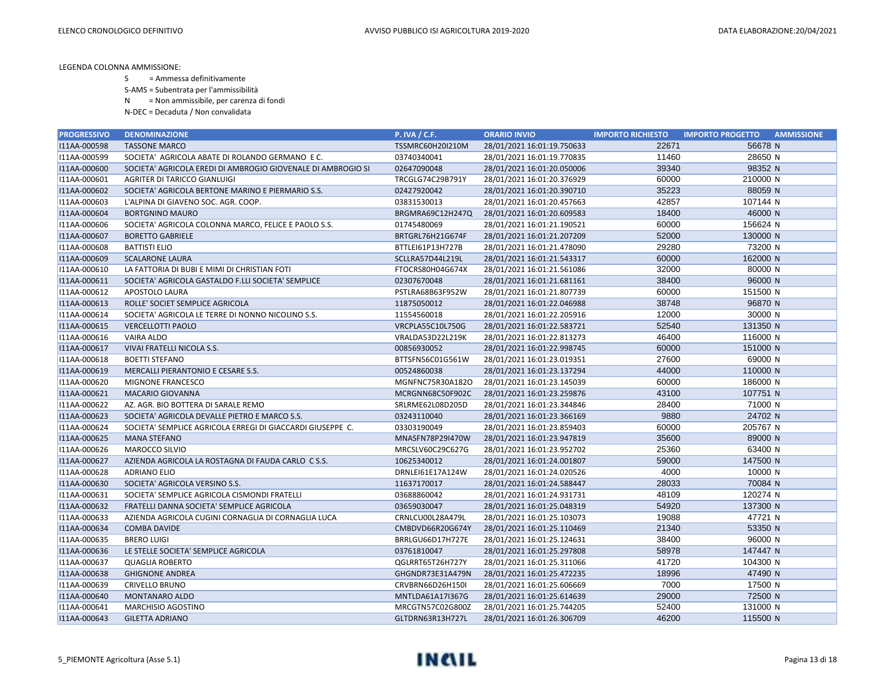S = Ammessa definitivamente

S-AMS = Subentrata per l'ammissibilità

N = Non ammissibile, per carenza di fondi

| <b>PROGRESSIVO</b> | <b>DENOMINAZIONE</b>                                         | <b>P. IVA / C.F.</b> | <b>ORARIO INVIO</b>        | <b>IMPORTO RICHIESTO</b> | <b>AMMISSIONE</b><br><b>IMPORTO PROGETTO</b> |
|--------------------|--------------------------------------------------------------|----------------------|----------------------------|--------------------------|----------------------------------------------|
| I11AA-000598       | <b>TASSONE MARCO</b>                                         | TSSMRC60H20I210M     | 28/01/2021 16:01:19.750633 | 22671                    | 56678 N                                      |
| I11AA-000599       | SOCIETA' AGRICOLA ABATE DI ROLANDO GERMANO E C.              | 03740340041          | 28/01/2021 16:01:19.770835 | 11460                    | 28650 N                                      |
| I11AA-000600       | SOCIETA' AGRICOLA EREDI DI AMBROGIO GIOVENALE DI AMBROGIO SI | 02647090048          | 28/01/2021 16:01:20.050006 | 39340                    | 98352 N                                      |
| I11AA-000601       | AGRITER DI TARICCO GIANLUIGI                                 | TRCGLG74C29B791Y     | 28/01/2021 16:01:20.376929 | 60000                    | 210000 N                                     |
| I11AA-000602       | SOCIETA' AGRICOLA BERTONE MARINO E PIERMARIO S.S.            | 02427920042          | 28/01/2021 16:01:20.390710 | 35223                    | 88059 N                                      |
| I11AA-000603       | L'ALPINA DI GIAVENO SOC. AGR. COOP.                          | 03831530013          | 28/01/2021 16:01:20.457663 | 42857                    | 107144 N                                     |
| I11AA-000604       | <b>BORTGNINO MAURO</b>                                       | BRGMRA69C12H247Q     | 28/01/2021 16:01:20.609583 | 18400                    | 46000 N                                      |
| I11AA-000606       | SOCIETA' AGRICOLA COLONNA MARCO, FELICE E PAOLO S.S.         | 01745480069          | 28/01/2021 16:01:21.190521 | 60000                    | 156624 N                                     |
| I11AA-000607       | <b>BORETTO GABRIELE</b>                                      | BRTGRL76H21G674F     | 28/01/2021 16:01:21.207209 | 52000                    | 130000 N                                     |
| I11AA-000608       | <b>BATTISTI ELIO</b>                                         | BTTLEI61P13H727B     | 28/01/2021 16:01:21.478090 | 29280                    | 73200 N                                      |
| I11AA-000609       | <b>SCALARONE LAURA</b>                                       | SCLLRA57D44L219L     | 28/01/2021 16:01:21.543317 | 60000                    | 162000 N                                     |
| I11AA-000610       | LA FATTORIA DI BUBI E MIMI DI CHRISTIAN FOTI                 | FTOCRS80H04G674X     | 28/01/2021 16:01:21.561086 | 32000                    | 80000 N                                      |
| I11AA-000611       | SOCIETA' AGRICOLA GASTALDO F.LLI SOCIETA' SEMPLICE           | 02307670048          | 28/01/2021 16:01:21.681161 | 38400                    | 96000 N                                      |
| I11AA-000612       | APOSTOLO LAURA                                               | PSTLRA68B63F952W     | 28/01/2021 16:01:21.807739 | 60000                    | 151500 N                                     |
| I11AA-000613       | ROLLE' SOCIET SEMPLICE AGRICOLA                              | 11875050012          | 28/01/2021 16:01:22.046988 | 38748                    | 96870 N                                      |
| I11AA-000614       | SOCIETA' AGRICOLA LE TERRE DI NONNO NICOLINO S.S.            | 11554560018          | 28/01/2021 16:01:22.205916 | 12000                    | 30000 N                                      |
| I11AA-000615       | <b>VERCELLOTTI PAOLO</b>                                     | VRCPLA55C10L750G     | 28/01/2021 16:01:22.583721 | 52540                    | 131350 N                                     |
| I11AA-000616       | <b>VAIRA ALDO</b>                                            | VRALDA53D22L219K     | 28/01/2021 16:01:22.813273 | 46400                    | 116000 N                                     |
| I11AA-000617       | VIVAI FRATELLI NICOLA S.S.                                   | 00856930052          | 28/01/2021 16:01:22.998745 | 60000                    | 151000 N                                     |
| I11AA-000618       | <b>BOETTI STEFANO</b>                                        | BTTSFN56C01G561W     | 28/01/2021 16:01:23.019351 | 27600                    | 69000 N                                      |
| I11AA-000619       | MERCALLI PIERANTONIO E CESARE S.S.                           | 00524860038          | 28/01/2021 16:01:23.137294 | 44000                    | 110000 N                                     |
| I11AA-000620       | MIGNONE FRANCESCO                                            | MGNFNC75R30A182O     | 28/01/2021 16:01:23.145039 | 60000                    | 186000 N                                     |
| I11AA-000621       | <b>MACARIO GIOVANNA</b>                                      | MCRGNN68C50F902C     | 28/01/2021 16:01:23.259876 | 43100                    | 107751 N                                     |
| I11AA-000622       | AZ. AGR. BIO BOTTERA DI SARALE REMO                          | SRLRME62L08D205D     | 28/01/2021 16:01:23.344846 | 28400                    | 71000 N                                      |
| I11AA-000623       | SOCIETA' AGRICOLA DEVALLE PIETRO E MARCO S.S.                | 03243110040          | 28/01/2021 16:01:23.366169 | 9880                     | 24702 N                                      |
| I11AA-000624       | SOCIETA' SEMPLICE AGRICOLA ERREGI DI GIACCARDI GIUSEPPE C.   | 03303190049          | 28/01/2021 16:01:23.859403 | 60000                    | 205767 N                                     |
| I11AA-000625       | <b>MANA STEFANO</b>                                          | MNASFN78P29I470W     | 28/01/2021 16:01:23.947819 | 35600                    | 89000 N                                      |
| I11AA-000626       | MAROCCO SILVIO                                               | MRCSLV60C29C627G     | 28/01/2021 16:01:23.952702 | 25360                    | 63400 N                                      |
| I11AA-000627       | AZIENDA AGRICOLA LA ROSTAGNA DI FAUDA CARLO CS.S.            | 10625340012          | 28/01/2021 16:01:24.001807 | 59000                    | 147500 N                                     |
| I11AA-000628       | <b>ADRIANO ELIO</b>                                          | DRNLEI61E17A124W     | 28/01/2021 16:01:24.020526 | 4000                     | 10000 N                                      |
| I11AA-000630       | SOCIETA' AGRICOLA VERSINO S.S.                               | 11637170017          | 28/01/2021 16:01:24.588447 | 28033                    | 70084 N                                      |
| I11AA-000631       | SOCIETA' SEMPLICE AGRICOLA CISMONDI FRATELLI                 | 03688860042          | 28/01/2021 16:01:24.931731 | 48109                    | 120274 N                                     |
| I11AA-000632       | FRATELLI DANNA SOCIETA' SEMPLICE AGRICOLA                    | 03659030047          | 28/01/2021 16:01:25.048319 | 54920                    | 137300 N                                     |
| I11AA-000633       | AZIENDA AGRICOLA CUGINI CORNAGLIA DI CORNAGLIA LUCA          | CRNLCU00L28A479L     | 28/01/2021 16:01:25.103073 | 19088                    | 47721 N                                      |
| I11AA-000634       | <b>COMBA DAVIDE</b>                                          | CMBDVD66R20G674Y     | 28/01/2021 16:01:25.110469 | 21340                    | 53350 N                                      |
| I11AA-000635       | <b>BRERO LUIGI</b>                                           | BRRLGU66D17H727E     | 28/01/2021 16:01:25.124631 | 38400                    | 96000 N                                      |
| I11AA-000636       | LE STELLE SOCIETA' SEMPLICE AGRICOLA                         | 03761810047          | 28/01/2021 16:01:25.297808 | 58978                    | 147447 N                                     |
| I11AA-000637       | <b>QUAGLIA ROBERTO</b>                                       | QGLRRT65T26H727Y     | 28/01/2021 16:01:25.311066 | 41720                    | 104300 N                                     |
| I11AA-000638       | <b>GHIGNONE ANDREA</b>                                       | GHGNDR73E31A479N     | 28/01/2021 16:01:25.472235 | 18996                    | 47490 N                                      |
| I11AA-000639       | CRIVELLO BRUNO                                               | CRVBRN66D26H150I     | 28/01/2021 16:01:25.606669 | 7000                     | 17500 N                                      |
| I11AA-000640       | <b>MONTANARO ALDO</b>                                        | MNTLDA61A17I367G     | 28/01/2021 16:01:25.614639 | 29000                    | 72500 N                                      |
| I11AA-000641       | <b>MARCHISIO AGOSTINO</b>                                    | MRCGTN57C02G800Z     | 28/01/2021 16:01:25.744205 | 52400                    | 131000 N                                     |
| I11AA-000643       | <b>GILETTA ADRIANO</b>                                       | GLTDRN63R13H727L     | 28/01/2021 16:01:26.306709 | 46200                    | 115500 N                                     |

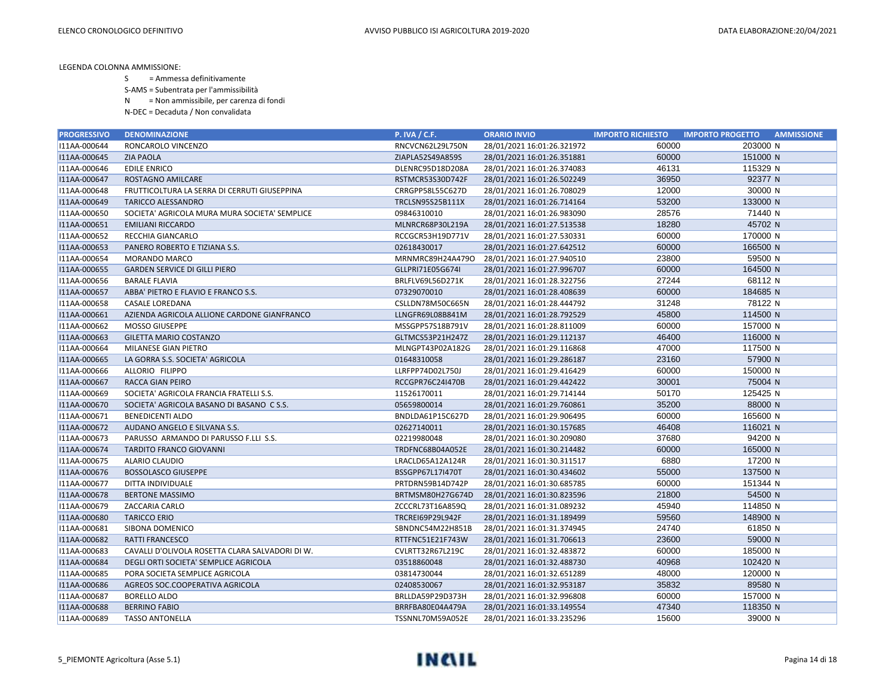- S = Ammessa definitivamente
- S-AMS = Subentrata per l'ammissibilità
- N = Non ammissibile, per carenza di fondi
- N-DEC = Decaduta / Non convalidata

| <b>PROGRESSIVO</b> | <b>DENOMINAZIONE</b>                            | <b>P. IVA / C.F.</b>    | <b>ORARIO INVIO</b>        | <b>IMPORTO RICHIESTO</b> | <b>IMPORTO PROGETTO</b><br><b>AMMISSIONE</b> |
|--------------------|-------------------------------------------------|-------------------------|----------------------------|--------------------------|----------------------------------------------|
| I11AA-000644       | RONCAROLO VINCENZO                              | RNCVCN62L29L750N        | 28/01/2021 16:01:26.321972 | 60000                    | 203000 N                                     |
| I11AA-000645       | <b>ZIA PAOLA</b>                                | ZIAPLA52S49A859S        | 28/01/2021 16:01:26.351881 | 60000                    | 151000 N                                     |
| I11AA-000646       | <b>EDILE ENRICO</b>                             | DLENRC95D18D208A        | 28/01/2021 16:01:26.374083 | 46131                    | 115329 N                                     |
| I11AA-000647       | <b>ROSTAGNO AMILCARE</b>                        | RSTMCR53S30D742F        | 28/01/2021 16:01:26.502249 | 36950                    | 92377 N                                      |
| I11AA-000648       | FRUTTICOLTURA LA SERRA DI CERRUTI GIUSEPPINA    | CRRGPP58L55C627D        | 28/01/2021 16:01:26.708029 | 12000                    | 30000 N                                      |
| I11AA-000649       | <b>TARICCO ALESSANDRO</b>                       | TRCLSN95S25B111X        | 28/01/2021 16:01:26.714164 | 53200                    | 133000 N                                     |
| I11AA-000650       | SOCIETA' AGRICOLA MURA MURA SOCIETA' SEMPLICE   | 09846310010             | 28/01/2021 16:01:26.983090 | 28576                    | 71440 N                                      |
| I11AA-000651       | <b>EMILIANI RICCARDO</b>                        | MLNRCR68P30L219A        | 28/01/2021 16:01:27.513538 | 18280                    | 45702 N                                      |
| I11AA-000652       | RECCHIA GIANCARLO                               | RCCGCR53H19D771V        | 28/01/2021 16:01:27.530331 | 60000                    | 170000 N                                     |
| I11AA-000653       | PANERO ROBERTO E TIZIANA S.S.                   | 02618430017             | 28/01/2021 16:01:27.642512 | 60000                    | 166500 N                                     |
| I11AA-000654       | <b>MORANDO MARCO</b>                            | MRNMRC89H24A479O        | 28/01/2021 16:01:27.940510 | 23800                    | 59500 N                                      |
| I11AA-000655       | <b>GARDEN SERVICE DI GILLI PIERO</b>            | GLLPRI71E05G674I        | 28/01/2021 16:01:27.996707 | 60000                    | 164500 N                                     |
| I11AA-000656       | <b>BARALE FLAVIA</b>                            | BRLFLV69L56D271K        | 28/01/2021 16:01:28.322756 | 27244                    | 68112 N                                      |
| I11AA-000657       | ABBA' PIETRO E FLAVIO E FRANCO S.S.             | 07329070010             | 28/01/2021 16:01:28.408639 | 60000                    | 184685 N                                     |
| I11AA-000658       | <b>CASALE LOREDANA</b>                          | CSLLDN78M50C665N        | 28/01/2021 16:01:28.444792 | 31248                    | 78122 N                                      |
| I11AA-000661       | AZIENDA AGRICOLA ALLIONE CARDONE GIANFRANCO     | LLNGFR69L08B841M        | 28/01/2021 16:01:28.792529 | 45800                    | 114500 N                                     |
| I11AA-000662       | <b>MOSSO GIUSEPPE</b>                           | MSSGPP57S18B791V        | 28/01/2021 16:01:28.811009 | 60000                    | 157000 N                                     |
| I11AA-000663       | <b>GILETTA MARIO COSTANZO</b>                   | GLTMCS53P21H247Z        | 28/01/2021 16:01:29.112137 | 46400                    | 116000 N                                     |
| I11AA-000664       | MILANESE GIAN PIETRO                            | MLNGPT43P02A182G        | 28/01/2021 16:01:29.116868 | 47000                    | 117500 N                                     |
| I11AA-000665       | LA GORRA S.S. SOCIETA' AGRICOLA                 | 01648310058             | 28/01/2021 16:01:29.286187 | 23160                    | 57900 N                                      |
| I11AA-000666       | ALLORIO FILIPPO                                 | LLRFPP74D02L750J        | 28/01/2021 16:01:29.416429 | 60000                    | 150000 N                                     |
| I11AA-000667       | <b>RACCA GIAN PEIRO</b>                         | RCCGPR76C24I470B        | 28/01/2021 16:01:29.442422 | 30001                    | 75004 N                                      |
| I11AA-000669       | SOCIETA' AGRICOLA FRANCIA FRATELLI S.S.         | 11526170011             | 28/01/2021 16:01:29.714144 | 50170                    | 125425 N                                     |
| I11AA-000670       | SOCIETA' AGRICOLA BASANO DI BASANO CS.S.        | 05659800014             | 28/01/2021 16:01:29.760861 | 35200                    | 88000 N                                      |
| I11AA-000671       | <b>BENEDICENTI ALDO</b>                         | BNDLDA61P15C627D        | 28/01/2021 16:01:29.906495 | 60000                    | 165600 N                                     |
| I11AA-000672       | AUDANO ANGELO E SILVANA S.S.                    | 02627140011             | 28/01/2021 16:01:30.157685 | 46408                    | 116021 N                                     |
| I11AA-000673       | PARUSSO ARMANDO DI PARUSSO F.LLI S.S.           | 02219980048             | 28/01/2021 16:01:30.209080 | 37680                    | 94200 N                                      |
| I11AA-000674       | TARDITO FRANCO GIOVANNI                         | TRDFNC68B04A052E        | 28/01/2021 16:01:30.214482 | 60000                    | 165000 N                                     |
| I11AA-000675       | ALARIO CLAUDIO                                  | LRACLD65A12A124R        | 28/01/2021 16:01:30.311517 | 6880                     | 17200 N                                      |
| I11AA-000676       | <b>BOSSOLASCO GIUSEPPE</b>                      | BSSGPP67L17I470T        | 28/01/2021 16:01:30.434602 | 55000                    | 137500 N                                     |
| I11AA-000677       | DITTA INDIVIDUALE                               | PRTDRN59B14D742P        | 28/01/2021 16:01:30.685785 | 60000                    | 151344 N                                     |
| I11AA-000678       | <b>BERTONE MASSIMO</b>                          | BRTMSM80H27G674D        | 28/01/2021 16:01:30.823596 | 21800                    | 54500 N                                      |
| I11AA-000679       | ZACCARIA CARLO                                  | ZCCCRL73T16A859Q        | 28/01/2021 16:01:31.089232 | 45940                    | 114850 N                                     |
| I11AA-000680       | <b>TARICCO ERIO</b>                             | <b>TRCREI69P29L942F</b> | 28/01/2021 16:01:31.189499 | 59560                    | 148900 N                                     |
| I11AA-000681       | SIBONA DOMENICO                                 | SBNDNC54M22H851B        | 28/01/2021 16:01:31.374945 | 24740                    | 61850 N                                      |
| I11AA-000682       | <b>RATTI FRANCESCO</b>                          | RTTFNC51E21F743W        | 28/01/2021 16:01:31.706613 | 23600                    | 59000 N                                      |
| I11AA-000683       | CAVALLI D'OLIVOLA ROSETTA CLARA SALVADORI DI W. | CVLRTT32R67L219C        | 28/01/2021 16:01:32.483872 | 60000                    | 185000 N                                     |
| I11AA-000684       | DEGLI ORTI SOCIETA' SEMPLICE AGRICOLA           | 03518860048             | 28/01/2021 16:01:32.488730 | 40968                    | 102420 N                                     |
| I11AA-000685       | PORA SOCIETA SEMPLICE AGRICOLA                  | 03814730044             | 28/01/2021 16:01:32.651289 | 48000                    | 120000 N                                     |
| I11AA-000686       | AGREOS SOC.COOPERATIVA AGRICOLA                 | 02408530067             | 28/01/2021 16:01:32.953187 | 35832                    | 89580 N                                      |
| I11AA-000687       | <b>BORELLO ALDO</b>                             | BRLLDA59P29D373H        | 28/01/2021 16:01:32.996808 | 60000                    | 157000 N                                     |
| I11AA-000688       | <b>BERRINO FABIO</b>                            | BRRFBA80E04A479A        | 28/01/2021 16:01:33.149554 | 47340                    | 118350 N                                     |
| I11AA-000689       | <b>TASSO ANTONELLA</b>                          | TSSNNL70M59A052E        | 28/01/2021 16:01:33.235296 | 15600                    | 39000 N                                      |

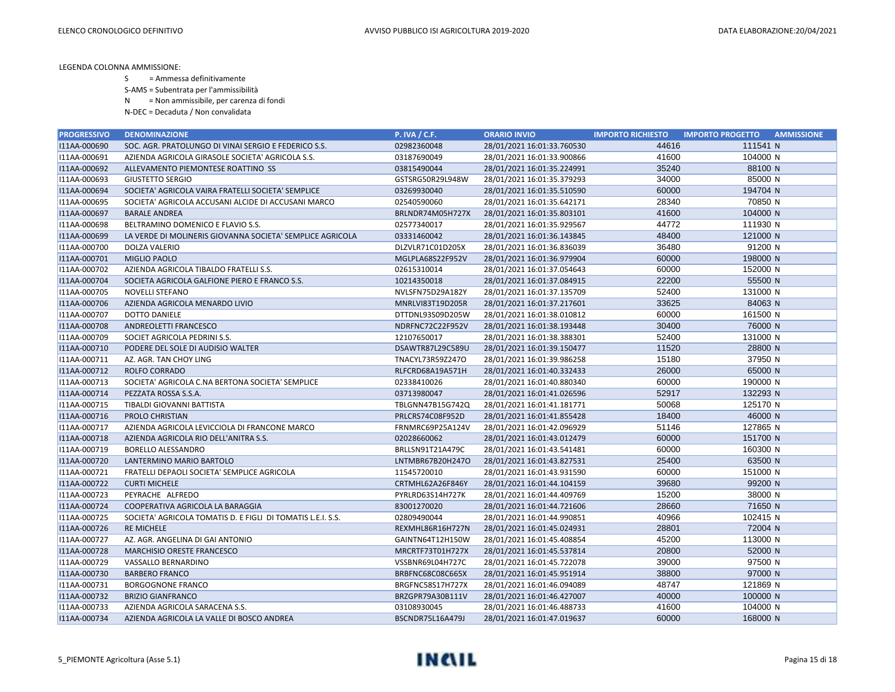S = Ammessa definitivamente

S-AMS = Subentrata per l'ammissibilità

N = Non ammissibile, per carenza di fondi

| <b>PROGRESSIVO</b> | <b>DENOMINAZIONE</b>                                        | <b>P. IVA / C.F.</b> | <b>ORARIO INVIO</b>        | <b>IMPORTO RICHIESTO</b> | <b>AMMISSIONE</b><br><b>IMPORTO PROGETTO</b> |
|--------------------|-------------------------------------------------------------|----------------------|----------------------------|--------------------------|----------------------------------------------|
| I11AA-000690       | SOC. AGR. PRATOLUNGO DI VINAI SERGIO E FEDERICO S.S.        | 02982360048          | 28/01/2021 16:01:33.760530 | 44616                    | 111541 N                                     |
| I11AA-000691       | AZIENDA AGRICOLA GIRASOLE SOCIETA' AGRICOLA S.S.            | 03187690049          | 28/01/2021 16:01:33.900866 | 41600                    | 104000 N                                     |
| I11AA-000692       | ALLEVAMENTO PIEMONTESE ROATTINO SS                          | 03815490044          | 28/01/2021 16:01:35.224991 | 35240                    | 88100 N                                      |
| I11AA-000693       | <b>GIUSTETTO SERGIO</b>                                     | GSTSRG50R29L948W     | 28/01/2021 16:01:35.379293 | 34000                    | 85000 N                                      |
| I11AA-000694       | SOCIETA' AGRICOLA VAIRA FRATELLI SOCIETA' SEMPLICE          | 03269930040          | 28/01/2021 16:01:35.510590 | 60000                    | 194704 N                                     |
| I11AA-000695       | SOCIETA' AGRICOLA ACCUSANI ALCIDE DI ACCUSANI MARCO         | 02540590060          | 28/01/2021 16:01:35.642171 | 28340                    | 70850 N                                      |
| I11AA-000697       | <b>BARALE ANDREA</b>                                        | BRLNDR74M05H727X     | 28/01/2021 16:01:35.803101 | 41600                    | 104000 N                                     |
| I11AA-000698       | BELTRAMINO DOMENICO E FLAVIO S.S.                           | 02577340017          | 28/01/2021 16:01:35.929567 | 44772                    | 111930 N                                     |
| I11AA-000699       | LA VERDE DI MOLINERIS GIOVANNA SOCIETA' SEMPLICE AGRICOLA   | 03331460042          | 28/01/2021 16:01:36.143845 | 48400                    | 121000 N                                     |
| I11AA-000700       | <b>DOLZA VALERIO</b>                                        | DLZVLR71C01D205X     | 28/01/2021 16:01:36.836039 | 36480                    | 91200 N                                      |
| I11AA-000701       | <b>MIGLIO PAOLO</b>                                         | MGLPLA68S22F952V     | 28/01/2021 16:01:36.979904 | 60000                    | 198000 N                                     |
| I11AA-000702       | AZIENDA AGRICOLA TIBALDO FRATELLI S.S.                      | 02615310014          | 28/01/2021 16:01:37.054643 | 60000                    | 152000 N                                     |
| I11AA-000704       | SOCIETA AGRICOLA GALFIONE PIERO E FRANCO S.S.               | 10214350018          | 28/01/2021 16:01:37.084915 | 22200                    | 55500 N                                      |
| I11AA-000705       | <b>NOVELLI STEFANO</b>                                      | NVLSFN75D29A182Y     | 28/01/2021 16:01:37.135709 | 52400                    | 131000 N                                     |
| I11AA-000706       | AZIENDA AGRICOLA MENARDO LIVIO                              | MNRLVI83T19D205R     | 28/01/2021 16:01:37.217601 | 33625                    | 84063 N                                      |
| I11AA-000707       | <b>DOTTO DANIELE</b>                                        | DTTDNL93S09D205W     | 28/01/2021 16:01:38.010812 | 60000                    | 161500 N                                     |
| I11AA-000708       | <b>ANDREOLETTI FRANCESCO</b>                                | NDRFNC72C22F952V     | 28/01/2021 16:01:38.193448 | 30400                    | 76000 N                                      |
| I11AA-000709       | SOCIET AGRICOLA PEDRINI S.S.                                | 12107650017          | 28/01/2021 16:01:38.388301 | 52400                    | 131000 N                                     |
| I11AA-000710       | PODERE DEL SOLE DI AUDISIO WALTER                           | DSAWTR87L29C589U     | 28/01/2021 16:01:39.150477 | 11520                    | 28800 N                                      |
| I11AA-000711       | AZ. AGR. TAN CHOY LING                                      | TNACYL73R59Z247O     | 28/01/2021 16:01:39.986258 | 15180                    | 37950 N                                      |
| I11AA-000712       | <b>ROLFO CORRADO</b>                                        | RLFCRD68A19A571H     | 28/01/2021 16:01:40.332433 | 26000                    | 65000 N                                      |
| I11AA-000713       | SOCIETA' AGRICOLA C.NA BERTONA SOCIETA' SEMPLICE            | 02338410026          | 28/01/2021 16:01:40.880340 | 60000                    | 190000 N                                     |
| I11AA-000714       | PEZZATA ROSSA S.S.A.                                        | 03713980047          | 28/01/2021 16:01:41.026596 | 52917                    | 132293 N                                     |
| I11AA-000715       | TIBALDI GIOVANNI BATTISTA                                   | TBLGNN47B15G742Q     | 28/01/2021 16:01:41.181771 | 50068                    | 125170 N                                     |
| I11AA-000716       | PROLO CHRISTIAN                                             | PRLCRS74C08F952D     | 28/01/2021 16:01:41.855428 | 18400                    | 46000 N                                      |
| I11AA-000717       | AZIENDA AGRICOLA LEVICCIOLA DI FRANCONE MARCO               | FRNMRC69P25A124V     | 28/01/2021 16:01:42.096929 | 51146                    | 127865 N                                     |
| I11AA-000718       | AZIENDA AGRICOLA RIO DELL'ANITRA S.S.                       | 02028660062          | 28/01/2021 16:01:43.012479 | 60000                    | 151700 N                                     |
| I11AA-000719       | BORELLO ALESSANDRO                                          | BRLLSN91T21A479C     | 28/01/2021 16:01:43.541481 | 60000                    | 160300 N                                     |
| I11AA-000720       | LANTERMINO MARIO BARTOLO                                    | LNTMBR67B20H247O     | 28/01/2021 16:01:43.827531 | 25400                    | 63500 N                                      |
| I11AA-000721       | FRATELLI DEPAOLI SOCIETA' SEMPLICE AGRICOLA                 | 11545720010          | 28/01/2021 16:01:43.931590 | 60000                    | 151000 N                                     |
| I11AA-000722       | <b>CURTI MICHELE</b>                                        | CRTMHL62A26F846Y     | 28/01/2021 16:01:44.104159 | 39680                    | 99200 N                                      |
| I11AA-000723       | PEYRACHE ALFREDO                                            | PYRLRD63S14H727K     | 28/01/2021 16:01:44.409769 | 15200                    | 38000 N                                      |
| I11AA-000724       | COOPERATIVA AGRICOLA LA BARAGGIA                            | 83001270020          | 28/01/2021 16:01:44.721606 | 28660                    | 71650 N                                      |
| I11AA-000725       | SOCIETA' AGRICOLA TOMATIS D. E FIGLI DI TOMATIS L.E.I. S.S. | 02809490044          | 28/01/2021 16:01:44.990851 | 40966                    | 102415 N                                     |
| I11AA-000726       | <b>RE MICHELE</b>                                           | REXMHL86R16H727N     | 28/01/2021 16:01:45.024931 | 28801                    | 72004 N                                      |
| I11AA-000727       | AZ. AGR. ANGELINA DI GAI ANTONIO                            | GAINTN64T12H150W     | 28/01/2021 16:01:45.408854 | 45200                    | 113000 N                                     |
| I11AA-000728       | MARCHISIO ORESTE FRANCESCO                                  | MRCRTF73T01H727X     | 28/01/2021 16:01:45.537814 | 20800                    | 52000 N                                      |
| I11AA-000729       | VASSALLO BERNARDINO                                         | VSSBNR69L04H727C     | 28/01/2021 16:01:45.722078 | 39000                    | 97500 N                                      |
| I11AA-000730       | <b>BARBERO FRANCO</b>                                       | BRBFNC68C08C665X     | 28/01/2021 16:01:45.951914 | 38800                    | 97000 N                                      |
| I11AA-000731       | <b>BORGOGNONE FRANCO</b>                                    | BRGFNC58S17H727X     | 28/01/2021 16:01:46.094089 | 48747                    | 121869 N                                     |
| I11AA-000732       | <b>BRIZIO GIANFRANCO</b>                                    | BRZGPR79A30B111V     | 28/01/2021 16:01:46.427007 | 40000                    | 100000 N                                     |
| I11AA-000733       | AZIENDA AGRICOLA SARACENA S.S.                              | 03108930045          | 28/01/2021 16:01:46.488733 | 41600                    | 104000 N                                     |
| I11AA-000734       | AZIENDA AGRICOLA LA VALLE DI BOSCO ANDREA                   | BSCNDR75L16A479J     | 28/01/2021 16:01:47.019637 | 60000                    | 168000 N                                     |

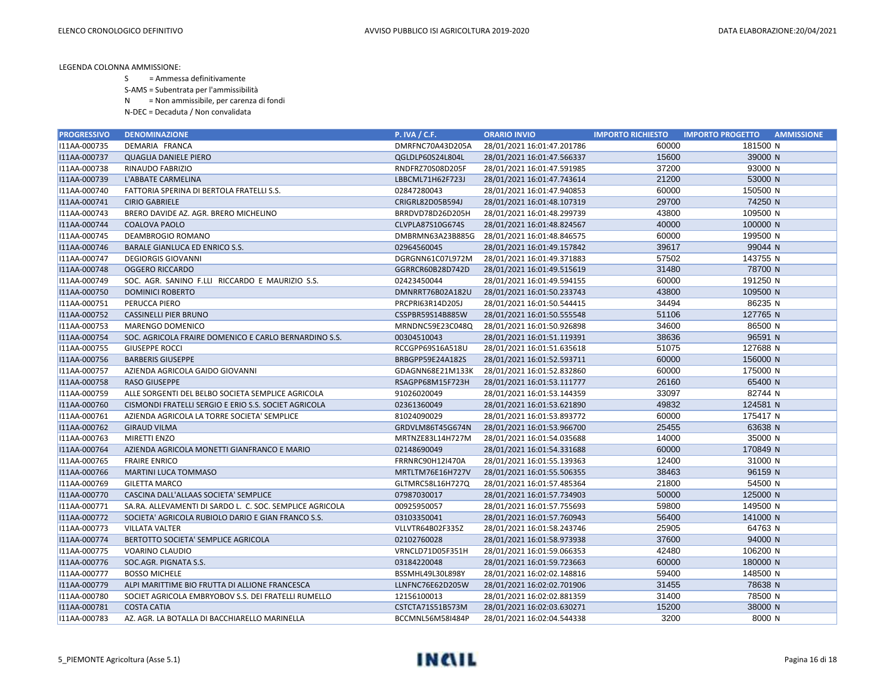- S = Ammessa definitivamente
- S-AMS = Subentrata per l'ammissibilità
- N = Non ammissibile, per carenza di fondi
- N-DEC = Decaduta / Non convalidata

| <b>PROGRESSIVO</b> | <b>DENOMINAZIONE</b>                                     | <b>P. IVA / C.F.</b> | <b>ORARIO INVIO</b>        | <b>IMPORTO RICHIESTO</b> | <b>IMPORTO PROGETTO</b><br><b>AMMISSIONE</b> |
|--------------------|----------------------------------------------------------|----------------------|----------------------------|--------------------------|----------------------------------------------|
| I11AA-000735       | DEMARIA FRANCA                                           | DMRFNC70A43D205A     | 28/01/2021 16:01:47.201786 | 60000                    | 181500 N                                     |
| I11AA-000737       | <b>QUAGLIA DANIELE PIERO</b>                             | QGLDLP60S24L804L     | 28/01/2021 16:01:47.566337 | 15600                    | 39000 N                                      |
| I11AA-000738       | <b>RINAUDO FABRIZIO</b>                                  | RNDFRZ70S08D205F     | 28/01/2021 16:01:47.591985 | 37200                    | 93000 N                                      |
| I11AA-000739       | L'ABBATE CARMELINA                                       | LBBCML71H62F723J     | 28/01/2021 16:01:47.743614 | 21200                    | 53000 N                                      |
| I11AA-000740       | FATTORIA SPERINA DI BERTOLA FRATELLI S.S.                | 02847280043          | 28/01/2021 16:01:47.940853 | 60000                    | 150500 N                                     |
| I11AA-000741       | <b>CIRIO GABRIELE</b>                                    | CRIGRL82D05B594J     | 28/01/2021 16:01:48.107319 | 29700                    | 74250 N                                      |
| I11AA-000743       | BRERO DAVIDE AZ. AGR. BRERO MICHELINO                    | BRRDVD78D26D205H     | 28/01/2021 16:01:48.299739 | 43800                    | 109500 N                                     |
| I11AA-000744       | <b>COALOVA PAOLO</b>                                     | CLVPLA87S10G674S     | 28/01/2021 16:01:48.824567 | 40000                    | 100000 N                                     |
| I11AA-000745       | DEAMBROGIO ROMANO                                        | DMBRMN63A23B885G     | 28/01/2021 16:01:48.846575 | 60000                    | 199500 N                                     |
| I11AA-000746       | <b>BARALE GIANLUCA ED ENRICO S.S.</b>                    | 02964560045          | 28/01/2021 16:01:49.157842 | 39617                    | 99044 N                                      |
| I11AA-000747       | <b>DEGIORGIS GIOVANNI</b>                                | DGRGNN61C07L972M     | 28/01/2021 16:01:49.371883 | 57502                    | 143755 N                                     |
| I11AA-000748       | <b>OGGERO RICCARDO</b>                                   | GGRRCR60B28D742D     | 28/01/2021 16:01:49.515619 | 31480                    | 78700 N                                      |
| I11AA-000749       | SOC. AGR. SANINO F.LLI RICCARDO E MAURIZIO S.S.          | 02423450044          | 28/01/2021 16:01:49.594155 | 60000                    | 191250 N                                     |
| I11AA-000750       | DOMINICI ROBERTO                                         | DMNRRT76B02A182U     | 28/01/2021 16:01:50.233743 | 43800                    | 109500 N                                     |
| I11AA-000751       | PERUCCA PIERO                                            | PRCPRI63R14D205J     | 28/01/2021 16:01:50.544415 | 34494                    | 86235 N                                      |
| I11AA-000752       | <b>CASSINELLI PIER BRUNO</b>                             | CSSPBR59S14B885W     | 28/01/2021 16:01:50.555548 | 51106                    | 127765 N                                     |
| I11AA-000753       | MARENGO DOMENICO                                         | MRNDNC59E23C048Q     | 28/01/2021 16:01:50.926898 | 34600                    | 86500 N                                      |
| I11AA-000754       | SOC. AGRICOLA FRAIRE DOMENICO E CARLO BERNARDINO S.S.    | 00304510043          | 28/01/2021 16:01:51.119391 | 38636                    | 96591 N                                      |
| I11AA-000755       | <b>GIUSEPPE ROCCI</b>                                    | RCCGPP69S16A518U     | 28/01/2021 16:01:51.635618 | 51075                    | 127688 N                                     |
| I11AA-000756       | <b>BARBERIS GIUSEPPE</b>                                 | BRBGPP59E24A182S     | 28/01/2021 16:01:52.593711 | 60000                    | 156000 N                                     |
| I11AA-000757       | AZIENDA AGRICOLA GAIDO GIOVANNI                          | GDAGNN68E21M133K     | 28/01/2021 16:01:52.832860 | 60000                    | 175000 N                                     |
| I11AA-000758       | <b>RASO GIUSEPPE</b>                                     | RSAGPP68M15F723H     | 28/01/2021 16:01:53.111777 | 26160                    | 65400 N                                      |
| I11AA-000759       | ALLE SORGENTI DEL BELBO SOCIETA SEMPLICE AGRICOLA        | 91026020049          | 28/01/2021 16:01:53.144359 | 33097                    | 82744 N                                      |
| I11AA-000760       | CISMONDI FRATELLI SERGIO E ERIO S.S. SOCIET AGRICOLA     | 02361360049          | 28/01/2021 16:01:53.621890 | 49832                    | 124581 N                                     |
| I11AA-000761       | AZIENDA AGRICOLA LA TORRE SOCIETA' SEMPLICE              | 81024090029          | 28/01/2021 16:01:53.893772 | 60000                    | 175417 N                                     |
| I11AA-000762       | <b>GIRAUD VILMA</b>                                      | GRDVLM86T45G674N     | 28/01/2021 16:01:53.966700 | 25455                    | 63638 N                                      |
| I11AA-000763       | <b>MIRETTI ENZO</b>                                      | MRTNZE83L14H727M     | 28/01/2021 16:01:54.035688 | 14000                    | 35000 N                                      |
| I11AA-000764       | AZIENDA AGRICOLA MONETTI GIANFRANCO E MARIO              | 02148690049          | 28/01/2021 16:01:54.331688 | 60000                    | 170849 N                                     |
| I11AA-000765       | <b>FRAIRE ENRICO</b>                                     | FRRNRC90H12I470A     | 28/01/2021 16:01:55.139363 | 12400                    | 31000 N                                      |
| I11AA-000766       | <b>MARTINI LUCA TOMMASO</b>                              | MRTLTM76E16H727V     | 28/01/2021 16:01:55.506355 | 38463                    | 96159 N                                      |
| I11AA-000769       | <b>GILETTA MARCO</b>                                     | GLTMRC58L16H727Q     | 28/01/2021 16:01:57.485364 | 21800                    | 54500 N                                      |
| I11AA-000770       | CASCINA DALL'ALLAAS SOCIETA' SEMPLICE                    | 07987030017          | 28/01/2021 16:01:57.734903 | 50000                    | 125000 N                                     |
| I11AA-000771       | SA.RA. ALLEVAMENTI DI SARDO L. C. SOC. SEMPLICE AGRICOLA | 00925950057          | 28/01/2021 16:01:57.755693 | 59800                    | 149500 N                                     |
| I11AA-000772       | SOCIETA' AGRICOLA RUBIOLO DARIO E GIAN FRANCO S.S.       | 03103350041          | 28/01/2021 16:01:57.760943 | 56400                    | 141000 N                                     |
| I11AA-000773       | <b>VILLATA VALTER</b>                                    | VLLVTR64B02F335Z     | 28/01/2021 16:01:58.243746 | 25905                    | 64763 N                                      |
| I11AA-000774       | BERTOTTO SOCIETA' SEMPLICE AGRICOLA                      | 02102760028          | 28/01/2021 16:01:58.973938 | 37600                    | 94000 N                                      |
| I11AA-000775       | VOARINO CLAUDIO                                          | VRNCLD71D05F351H     | 28/01/2021 16:01:59.066353 | 42480                    | 106200 N                                     |
| I11AA-000776       | SOC.AGR. PIGNATA S.S.                                    | 03184220048          | 28/01/2021 16:01:59.723663 | 60000                    | 180000 N                                     |
| I11AA-000777       | <b>BOSSO MICHELE</b>                                     | BSSMHL49L30L898Y     | 28/01/2021 16:02:02.148816 | 59400                    | 148500 N                                     |
| I11AA-000779       | ALPI MARITTIME BIO FRUTTA DI ALLIONE FRANCESCA           | LLNFNC76E62D205W     | 28/01/2021 16:02:02.701906 | 31455                    | 78638 N                                      |
| I11AA-000780       | SOCIET AGRICOLA EMBRYOBOV S.S. DEI FRATELLI RUMELLO      | 12156100013          | 28/01/2021 16:02:02.881359 | 31400                    | 78500 N                                      |
| I11AA-000781       | <b>COSTA CATIA</b>                                       | CSTCTA71S51B573M     | 28/01/2021 16:02:03.630271 | 15200                    | 38000 N                                      |
| I11AA-000783       | AZ. AGR. LA BOTALLA DI BACCHIARELLO MARINELLA            | BCCMNL56M58I484P     | 28/01/2021 16:02:04.544338 | 3200                     | 8000 N                                       |

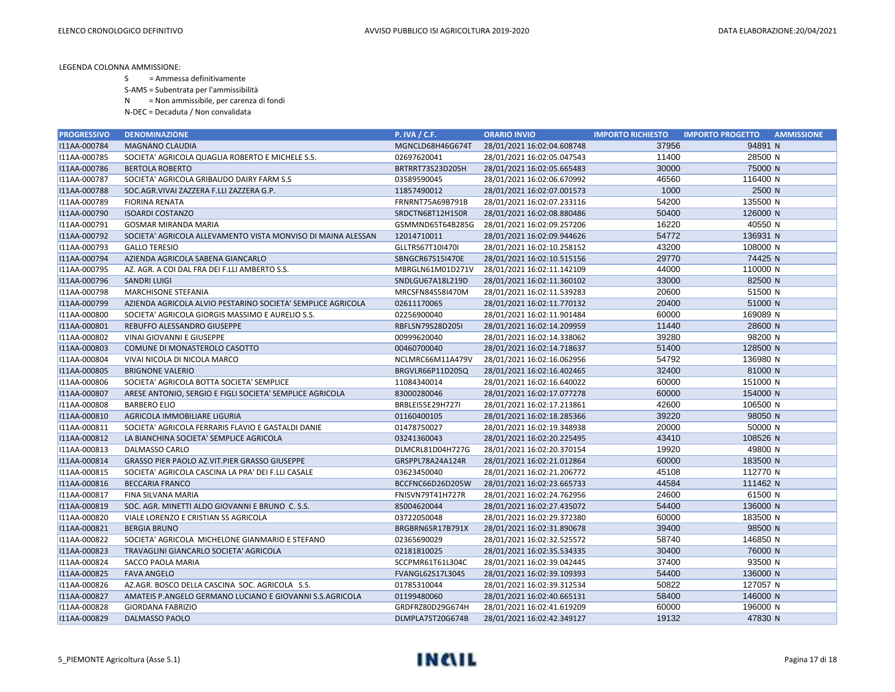- S = Ammessa definitivamente
- S-AMS = Subentrata per l'ammissibilità
- N = Non ammissibile, per carenza di fondi
- N-DEC = Decaduta / Non convalidata

| <b>PROGRESSIVO</b> | <b>DENOMINAZIONE</b>                                         | <b>P. IVA / C.F.</b>    | <b>ORARIO INVIO</b>        | <b>IMPORTO RICHIESTO</b> | <b>IMPORTO PROGETTO</b><br><b>AMMISSIONE</b> |
|--------------------|--------------------------------------------------------------|-------------------------|----------------------------|--------------------------|----------------------------------------------|
| I11AA-000784       | <b>MAGNANO CLAUDIA</b>                                       | MGNCLD68H46G674T        | 28/01/2021 16:02:04.608748 | 37956                    | 94891 N                                      |
| I11AA-000785       | SOCIETA' AGRICOLA QUAGLIA ROBERTO E MICHELE S.S.             | 02697620041             | 28/01/2021 16:02:05.047543 | 11400                    | 28500 N                                      |
| I11AA-000786       | <b>BERTOLA ROBERTO</b>                                       | BRTRRT73S23D205H        | 28/01/2021 16:02:05.665483 | 30000                    | 75000 N                                      |
| I11AA-000787       | SOCIETA' AGRICOLA GRIBAUDO DAIRY FARM S.S                    | 03589590045             | 28/01/2021 16:02:06.670992 | 46560                    | 116400 N                                     |
| I11AA-000788       | SOC.AGR.VIVAI ZAZZERA F.LLI ZAZZERA G.P.                     | 11857490012             | 28/01/2021 16:02:07.001573 | 1000                     | 2500 N                                       |
| I11AA-000789       | <b>FIORINA RENATA</b>                                        | FRNRNT75A69B791B        | 28/01/2021 16:02:07.233116 | 54200                    | 135500 N                                     |
| I11AA-000790       | <b>ISOARDI COSTANZO</b>                                      | SRDCTN68T12H150R        | 28/01/2021 16:02:08.880486 | 50400                    | 126000 N                                     |
| I11AA-000791       | <b>GOSMAR MIRANDA MARIA</b>                                  | GSMMND65T64B285G        | 28/01/2021 16:02:09.257206 | 16220                    | 40550 N                                      |
| I11AA-000792       | SOCIETA' AGRICOLA ALLEVAMENTO VISTA MONVISO DI MAINA ALESSAN | 12014710011             | 28/01/2021 16:02:09.944626 | 54772                    | 136931 N                                     |
| I11AA-000793       | <b>GALLO TERESIO</b>                                         | GLLTRS67T10I470I        | 28/01/2021 16:02:10.258152 | 43200                    | 108000 N                                     |
| I11AA-000794       | AZIENDA AGRICOLA SABENA GIANCARLO                            | SBNGCR67S15I470E        | 28/01/2021 16:02:10.515156 | 29770                    | 74425 N                                      |
| I11AA-000795       | AZ. AGR. A COI DAL FRA DEI F.LLI AMBERTO S.S.                | MBRGLN61M01D271V        | 28/01/2021 16:02:11.142109 | 44000                    | 110000 N                                     |
| I11AA-000796       | <b>SANDRI LUIGI</b>                                          | SNDLGU67A18L219D        | 28/01/2021 16:02:11.360102 | 33000                    | 82500 N                                      |
| I11AA-000798       | <b>MARCHISONE STEFANIA</b>                                   | MRCSFN84S58I470M        | 28/01/2021 16:02:11.539283 | 20600                    | 51500 N                                      |
| I11AA-000799       | AZIENDA AGRICOLA ALVIO PESTARINO SOCIETA' SEMPLICE AGRICOLA  | 02611170065             | 28/01/2021 16:02:11.770132 | 20400                    | 51000 N                                      |
| I11AA-000800       | SOCIETA' AGRICOLA GIORGIS MASSIMO E AURELIO S.S.             | 02256900040             | 28/01/2021 16:02:11.901484 | 60000                    | 169089 N                                     |
| I11AA-000801       | REBUFFO ALESSANDRO GIUSEPPE                                  | RBFLSN79S28D205I        | 28/01/2021 16:02:14.209959 | 11440                    | 28600 N                                      |
| I11AA-000802       | VINAI GIOVANNI E GIUSEPPE                                    | 00999620040             | 28/01/2021 16:02:14.338062 | 39280                    | 98200 N                                      |
| I11AA-000803       | COMUNE DI MONASTEROLO CASOTTO                                | 00460700040             | 28/01/2021 16:02:14.718637 | 51400                    | 128500 N                                     |
| I11AA-000804       | VIVAI NICOLA DI NICOLA MARCO                                 | NCLMRC66M11A479V        | 28/01/2021 16:02:16.062956 | 54792                    | 136980 N                                     |
| I11AA-000805       | <b>BRIGNONE VALERIO</b>                                      | BRGVLR66P11D205Q        | 28/01/2021 16:02:16.402465 | 32400                    | 81000 N                                      |
| I11AA-000806       | SOCIETA' AGRICOLA BOTTA SOCIETA' SEMPLICE                    | 11084340014             | 28/01/2021 16:02:16.640022 | 60000                    | 151000 N                                     |
| I11AA-000807       | ARESE ANTONIO, SERGIO E FIGLI SOCIETA' SEMPLICE AGRICOLA     | 83000280046             | 28/01/2021 16:02:17.077278 | 60000                    | 154000 N                                     |
| I11AA-000808       | <b>BARBERO ELIO</b>                                          | BRBLEI55E29H727I        | 28/01/2021 16:02:17.213861 | 42600                    | 106500 N                                     |
| I11AA-000810       | AGRICOLA IMMOBILIARE LIGURIA                                 | 01160400105             | 28/01/2021 16:02:18.285366 | 39220                    | 98050 N                                      |
| I11AA-000811       | SOCIETA' AGRICOLA FERRARIS FLAVIO E GASTALDI DANIE           | 01478750027             | 28/01/2021 16:02:19.348938 | 20000                    | 50000 N                                      |
| I11AA-000812       | LA BIANCHINA SOCIETA' SEMPLICE AGRICOLA                      | 03241360043             | 28/01/2021 16:02:20.225495 | 43410                    | 108526 N                                     |
| I11AA-000813       | DALMASSO CARLO                                               | DLMCRL81D04H727G        | 28/01/2021 16:02:20.370154 | 19920                    | 49800 N                                      |
| I11AA-000814       | GRASSO PIER PAOLO AZ.VIT.PIER GRASSO GIUSEPPE                | GRSPPL78A24A124R        | 28/01/2021 16:02:21.012864 | 60000                    | 183500 N                                     |
| I11AA-000815       | SOCIETA' AGRICOLA CASCINA LA PRA' DEI F.LLI CASALE           | 03623450040             | 28/01/2021 16:02:21.206772 | 45108                    | 112770 N                                     |
| I11AA-000816       | <b>BECCARIA FRANCO</b>                                       | BCCFNC66D26D205W        | 28/01/2021 16:02:23.665733 | 44584                    | 111462 N                                     |
| I11AA-000817       | FINA SILVANA MARIA                                           | FNISVN79T41H727R        | 28/01/2021 16:02:24.762956 | 24600                    | 61500 N                                      |
| I11AA-000819       | SOC. AGR. MINETTI ALDO GIOVANNI E BRUNO C. S.S.              | 85004620044             | 28/01/2021 16:02:27.435072 | 54400                    | 136000 N                                     |
| I11AA-000820       | VIALE LORENZO E CRISTIAN SS AGRICOLA                         | 03722050048             | 28/01/2021 16:02:29.372380 | 60000                    | 183500 N                                     |
| I11AA-000821       | <b>BERGIA BRUNO</b>                                          | BRGBRN65R17B791X        | 28/01/2021 16:02:31.890678 | 39400                    | 98500 N                                      |
| I11AA-000822       | SOCIETA' AGRICOLA MICHELONE GIANMARIO E STEFANO              | 02365690029             | 28/01/2021 16:02:32.525572 | 58740                    | 146850 N                                     |
| I11AA-000823       | TRAVAGLINI GIANCARLO SOCIETA' AGRICOLA                       | 02181810025             | 28/01/2021 16:02:35.534335 | 30400                    | 76000 N                                      |
| I11AA-000824       | SACCO PAOLA MARIA                                            | SCCPMR61T61L304C        | 28/01/2021 16:02:39.042445 | 37400                    | 93500 N                                      |
| I11AA-000825       | <b>FAVA ANGELO</b>                                           | <b>FVANGL62S17L304S</b> | 28/01/2021 16:02:39.109393 | 54400                    | 136000 N                                     |
| I11AA-000826       | AZ.AGR. BOSCO DELLA CASCINA SOC. AGRICOLA S.S.               | 01785310044             | 28/01/2021 16:02:39.312534 | 50822                    | 127057 N                                     |
| I11AA-000827       | AMATEIS P.ANGELO GERMANO LUCIANO E GIOVANNI S.S.AGRICOLA     | 01199480060             | 28/01/2021 16:02:40.665131 | 58400                    | 146000 N                                     |
| I11AA-000828       | <b>GIORDANA FABRIZIO</b>                                     | GRDFRZ80D29G674H        | 28/01/2021 16:02:41.619209 | 60000                    | 196000 N                                     |
| I11AA-000829       | DALMASSO PAOLO                                               | DLMPLA75T20G674B        | 28/01/2021 16:02:42.349127 | 19132                    | 47830 N                                      |